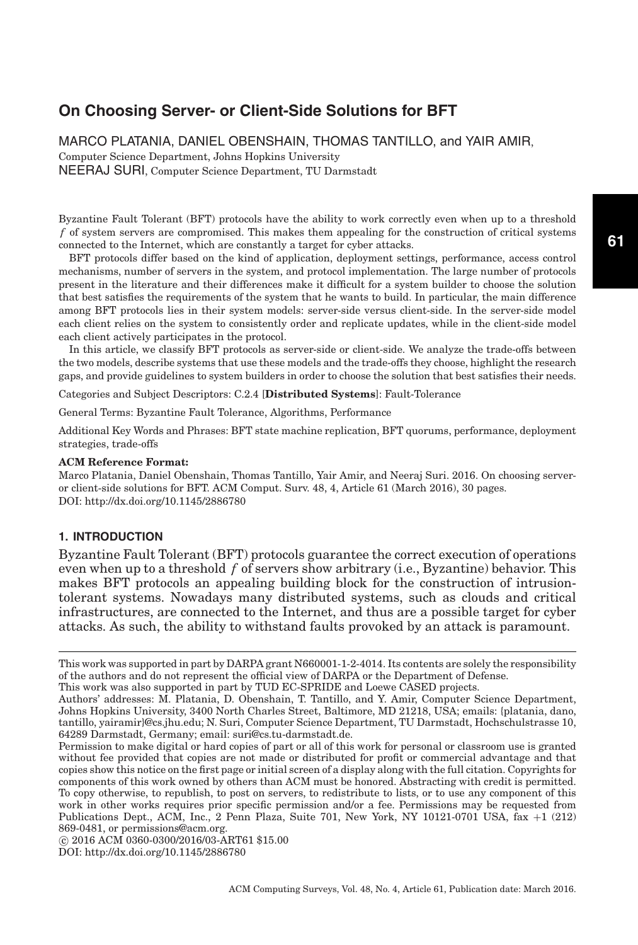# **On Choosing Server- or Client-Side Solutions for BFT**

MARCO PLATANIA, DANIEL OBENSHAIN, THOMAS TANTILLO, and YAIR AMIR, Computer Science Department, Johns Hopkins University NEERAJ SURI, Computer Science Department, TU Darmstadt

Byzantine Fault Tolerant (BFT) protocols have the ability to work correctly even when up to a threshold *f* of system servers are compromised. This makes them appealing for the construction of critical systems connected to the Internet, which are constantly a target for cyber attacks.

BFT protocols differ based on the kind of application, deployment settings, performance, access control mechanisms, number of servers in the system, and protocol implementation. The large number of protocols present in the literature and their differences make it difficult for a system builder to choose the solution that best satisfies the requirements of the system that he wants to build. In particular, the main difference among BFT protocols lies in their system models: server-side versus client-side. In the server-side model each client relies on the system to consistently order and replicate updates, while in the client-side model each client actively participates in the protocol.

In this article, we classify BFT protocols as server-side or client-side. We analyze the trade-offs between the two models, describe systems that use these models and the trade-offs they choose, highlight the research gaps, and provide guidelines to system builders in order to choose the solution that best satisfies their needs.

Categories and Subject Descriptors: C.2.4 [**Distributed Systems**]: Fault-Tolerance

General Terms: Byzantine Fault Tolerance, Algorithms, Performance

Additional Key Words and Phrases: BFT state machine replication, BFT quorums, performance, deployment strategies, trade-offs

#### **ACM Reference Format:**

Marco Platania, Daniel Obenshain, Thomas Tantillo, Yair Amir, and Neeraj Suri. 2016. On choosing serveror client-side solutions for BFT. ACM Comput. Surv. 48, 4, Article 61 (March 2016), 30 pages. DOI:<http://dx.doi.org/10.1145/2886780>

#### **1. INTRODUCTION**

Byzantine Fault Tolerant (BFT) protocols guarantee the correct execution of operations even when up to a threshold *f* of servers show arbitrary (i.e., Byzantine) behavior. This makes BFT protocols an appealing building block for the construction of intrusiontolerant systems. Nowadays many distributed systems, such as clouds and critical infrastructures, are connected to the Internet, and thus are a possible target for cyber attacks. As such, the ability to withstand faults provoked by an attack is paramount.

This work was also supported in part by TUD EC-SPRIDE and Loewe CASED projects.

-c 2016 ACM 0360-0300/2016/03-ART61 \$15.00

DOI:<http://dx.doi.org/10.1145/2886780>

This work was supported in part by DARPA grant N660001-1-2-4014. Its contents are solely the responsibility of the authors and do not represent the official view of DARPA or the Department of Defense.

Authors' addresses: M. Platania, D. Obenshain, T. Tantillo, and Y. Amir, Computer Science Department, Johns Hopkins University, 3400 North Charles Street, Baltimore, MD 21218, USA; emails: {platania, dano, tantillo, yairamir}@cs.jhu.edu; N. Suri, Computer Science Department, TU Darmstadt, Hochschulstrasse 10, 64289 Darmstadt, Germany; email: suri@cs.tu-darmstadt.de.

Permission to make digital or hard copies of part or all of this work for personal or classroom use is granted without fee provided that copies are not made or distributed for profit or commercial advantage and that copies show this notice on the first page or initial screen of a display along with the full citation. Copyrights for components of this work owned by others than ACM must be honored. Abstracting with credit is permitted. To copy otherwise, to republish, to post on servers, to redistribute to lists, or to use any component of this work in other works requires prior specific permission and/or a fee. Permissions may be requested from Publications Dept., ACM, Inc., 2 Penn Plaza, Suite 701, New York, NY 10121-0701 USA, fax +1 (212) 869-0481, or permissions@acm.org.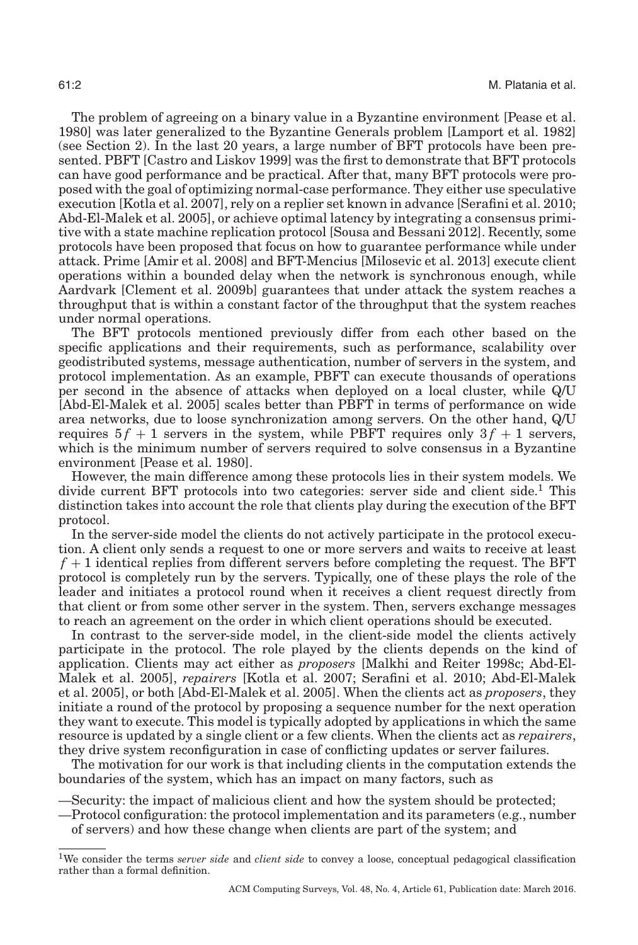The problem of agreeing on a binary value in a Byzantine environment [Pease et al. [1980\]](#page-28-0) was later generalized to the Byzantine Generals problem [Lamport et al. [1982\]](#page-28-1) (see Section [2\)](#page-2-0). In the last 20 years, a large number of BFT protocols have been presented. PBFT [Castro and Liskov [1999\]](#page-27-0) was the first to demonstrate that BFT protocols can have good performance and be practical. After that, many BFT protocols were proposed with the goal of optimizing normal-case performance. They either use speculative execution [Kotla et al. [2007\]](#page-28-2), rely on a replier set known in advance [Serafini et al. [2010;](#page-29-0) Abd-El-Malek et al. [2005\]](#page-27-1), or achieve optimal latency by integrating a consensus primitive with a state machine replication protocol [Sousa and Bessani [2012\]](#page-29-1). Recently, some protocols have been proposed that focus on how to guarantee performance while under attack. Prime [Amir et al. [2008\]](#page-27-2) and BFT-Mencius [Milosevic et al. [2013\]](#page-28-3) execute client operations within a bounded delay when the network is synchronous enough, while Aardvark [Clement et al. [2009b\]](#page-27-3) guarantees that under attack the system reaches a throughput that is within a constant factor of the throughput that the system reaches under normal operations.

The BFT protocols mentioned previously differ from each other based on the specific applications and their requirements, such as performance, scalability over geodistributed systems, message authentication, number of servers in the system, and protocol implementation. As an example, PBFT can execute thousands of operations per second in the absence of attacks when deployed on a local cluster, while Q/U [Abd-El-Malek et al. [2005\]](#page-27-1) scales better than PBFT in terms of performance on wide area networks, due to loose synchronization among servers. On the other hand, Q/U requires  $5f + 1$  servers in the system, while PBFT requires only  $3f + 1$  servers, which is the minimum number of servers required to solve consensus in a Byzantine environment [Pease et al. [1980\]](#page-28-0).

However, the main difference among these protocols lies in their system models. We divide current BFT protocols into two categories: server side and client side.[1](#page-1-0) This distinction takes into account the role that clients play during the execution of the BFT protocol.

In the server-side model the clients do not actively participate in the protocol execution. A client only sends a request to one or more servers and waits to receive at least  $f + 1$  identical replies from different servers before completing the request. The BFT protocol is completely run by the servers. Typically, one of these plays the role of the leader and initiates a protocol round when it receives a client request directly from that client or from some other server in the system. Then, servers exchange messages to reach an agreement on the order in which client operations should be executed.

In contrast to the server-side model, in the client-side model the clients actively participate in the protocol. The role played by the clients depends on the kind of application. Clients may act either as *proposers* [Malkhi and Reiter [1998c;](#page-28-4) Abd-El-Malek et al. [2005\]](#page-27-1), *repairers* [Kotla et al. [2007;](#page-28-2) Serafini et al. [2010;](#page-29-0) Abd-El-Malek et al. [2005\]](#page-27-1), or both [Abd-El-Malek et al. [2005\]](#page-27-1). When the clients act as *proposers*, they initiate a round of the protocol by proposing a sequence number for the next operation they want to execute. This model is typically adopted by applications in which the same resource is updated by a single client or a few clients. When the clients act as *repairers*, they drive system reconfiguration in case of conflicting updates or server failures.

The motivation for our work is that including clients in the computation extends the boundaries of the system, which has an impact on many factors, such as

—Security: the impact of malicious client and how the system should be protected;

—Protocol configuration: the protocol implementation and its parameters (e.g., number of servers) and how these change when clients are part of the system; and

<span id="page-1-0"></span><sup>1</sup>We consider the terms *server side* and *client side* to convey a loose, conceptual pedagogical classification rather than a formal definition.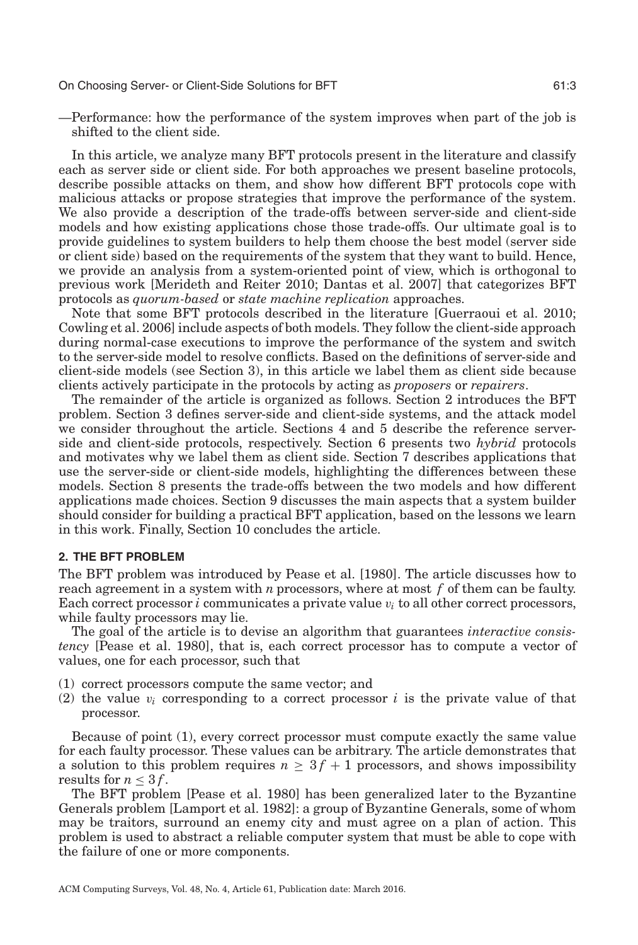—Performance: how the performance of the system improves when part of the job is shifted to the client side.

In this article, we analyze many BFT protocols present in the literature and classify each as server side or client side. For both approaches we present baseline protocols, describe possible attacks on them, and show how different BFT protocols cope with malicious attacks or propose strategies that improve the performance of the system. We also provide a description of the trade-offs between server-side and client-side models and how existing applications chose those trade-offs. Our ultimate goal is to provide guidelines to system builders to help them choose the best model (server side or client side) based on the requirements of the system that they want to build. Hence, we provide an analysis from a system-oriented point of view, which is orthogonal to previous work [Merideth and Reiter [2010;](#page-28-5) Dantas et al. [2007\]](#page-27-4) that categorizes BFT protocols as *quorum-based* or *state machine replication* approaches.

Note that some BFT protocols described in the literature [Guerraoui et al. [2010;](#page-28-6) Cowling et al. [2006\]](#page-27-5) include aspects of both models. They follow the client-side approach during normal-case executions to improve the performance of the system and switch to the server-side model to resolve conflicts. Based on the definitions of server-side and client-side models (see Section [3\)](#page-3-0), in this article we label them as client side because clients actively participate in the protocols by acting as *proposers* or *repairers*.

The remainder of the article is organized as follows. Section [2](#page-2-0) introduces the BFT problem. Section [3](#page-3-0) defines server-side and client-side systems, and the attack model we consider throughout the article. Sections [4](#page-3-1) and [5](#page-7-0) describe the reference serverside and client-side protocols, respectively. Section [6](#page-11-0) presents two *hybrid* protocols and motivates why we label them as client side. Section [7](#page-13-0) describes applications that use the server-side or client-side models, highlighting the differences between these models. Section [8](#page-19-0) presents the trade-offs between the two models and how different applications made choices. Section [9](#page-25-0) discusses the main aspects that a system builder should consider for building a practical BFT application, based on the lessons we learn in this work. Finally, Section [10](#page-26-0) concludes the article.

## **2. THE BFT PROBLEM**

<span id="page-2-0"></span>The BFT problem was introduced by Pease et al. [\[1980\]](#page-28-0). The article discusses how to reach agreement in a system with *n* processors, where at most *f* of them can be faulty. Each correct processor *i* communicates a private value v*<sup>i</sup>* to all other correct processors, while faulty processors may lie.

The goal of the article is to devise an algorithm that guarantees *interactive consistency* [Pease et al. [1980\]](#page-28-0), that is, each correct processor has to compute a vector of values, one for each processor, such that

- (1) correct processors compute the same vector; and
- (2) the value  $v_i$  corresponding to a correct processor  $i$  is the private value of that processor.

Because of point (1), every correct processor must compute exactly the same value for each faulty processor. These values can be arbitrary. The article demonstrates that a solution to this problem requires  $n \geq 3f + 1$  processors, and shows impossibility results for  $n \leq 3f$ .

The BFT problem [Pease et al. [1980\]](#page-28-0) has been generalized later to the Byzantine Generals problem [Lamport et al. [1982\]](#page-28-1): a group of Byzantine Generals, some of whom may be traitors, surround an enemy city and must agree on a plan of action. This problem is used to abstract a reliable computer system that must be able to cope with the failure of one or more components.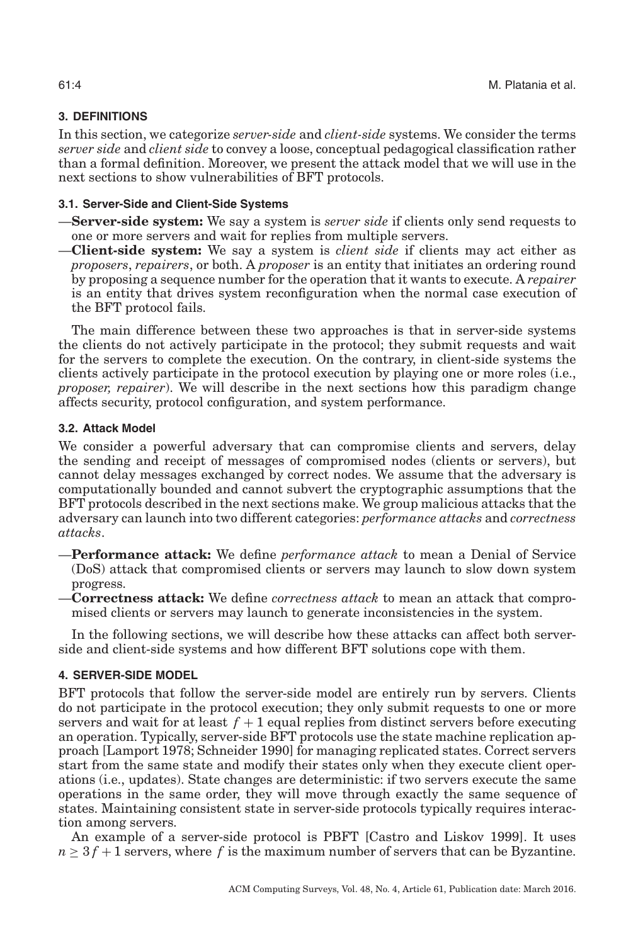## **3. DEFINITIONS**

<span id="page-3-0"></span>In this section, we categorize *server-side* and *client-side* systems. We consider the terms *server side* and *client side* to convey a loose, conceptual pedagogical classification rather than a formal definition. Moreover, we present the attack model that we will use in the next sections to show vulnerabilities of BFT protocols.

## **3.1. Server-Side and Client-Side Systems**

- —**Server-side system:** We say a system is *server side* if clients only send requests to one or more servers and wait for replies from multiple servers.
- —**Client-side system:** We say a system is *client side* if clients may act either as *proposers*, *repairers*, or both. A *proposer* is an entity that initiates an ordering round by proposing a sequence number for the operation that it wants to execute. A *repairer* is an entity that drives system reconfiguration when the normal case execution of the BFT protocol fails.

The main difference between these two approaches is that in server-side systems the clients do not actively participate in the protocol; they submit requests and wait for the servers to complete the execution. On the contrary, in client-side systems the clients actively participate in the protocol execution by playing one or more roles (i.e., *proposer, repairer*). We will describe in the next sections how this paradigm change affects security, protocol configuration, and system performance.

## **3.2. Attack Model**

We consider a powerful adversary that can compromise clients and servers, delay the sending and receipt of messages of compromised nodes (clients or servers), but cannot delay messages exchanged by correct nodes. We assume that the adversary is computationally bounded and cannot subvert the cryptographic assumptions that the BFT protocols described in the next sections make. We group malicious attacks that the adversary can launch into two different categories: *performance attacks* and *correctness attacks*.

- —**Performance attack:** We define *performance attack* to mean a Denial of Service (DoS) attack that compromised clients or servers may launch to slow down system progress.
- —**Correctness attack:** We define *correctness attack* to mean an attack that compromised clients or servers may launch to generate inconsistencies in the system.

In the following sections, we will describe how these attacks can affect both serverside and client-side systems and how different BFT solutions cope with them.

## **4. SERVER-SIDE MODEL**

<span id="page-3-1"></span>BFT protocols that follow the server-side model are entirely run by servers. Clients do not participate in the protocol execution; they only submit requests to one or more servers and wait for at least  $f + 1$  equal replies from distinct servers before executing an operation. Typically, server-side BFT protocols use the state machine replication approach [Lamport [1978;](#page-28-7) Schneider [1990\]](#page-29-2) for managing replicated states. Correct servers start from the same state and modify their states only when they execute client operations (i.e., updates). State changes are deterministic: if two servers execute the same operations in the same order, they will move through exactly the same sequence of states. Maintaining consistent state in server-side protocols typically requires interaction among servers.

An example of a server-side protocol is PBFT [Castro and Liskov [1999\]](#page-27-0). It uses  $n \geq 3f + 1$  servers, where f is the maximum number of servers that can be Byzantine.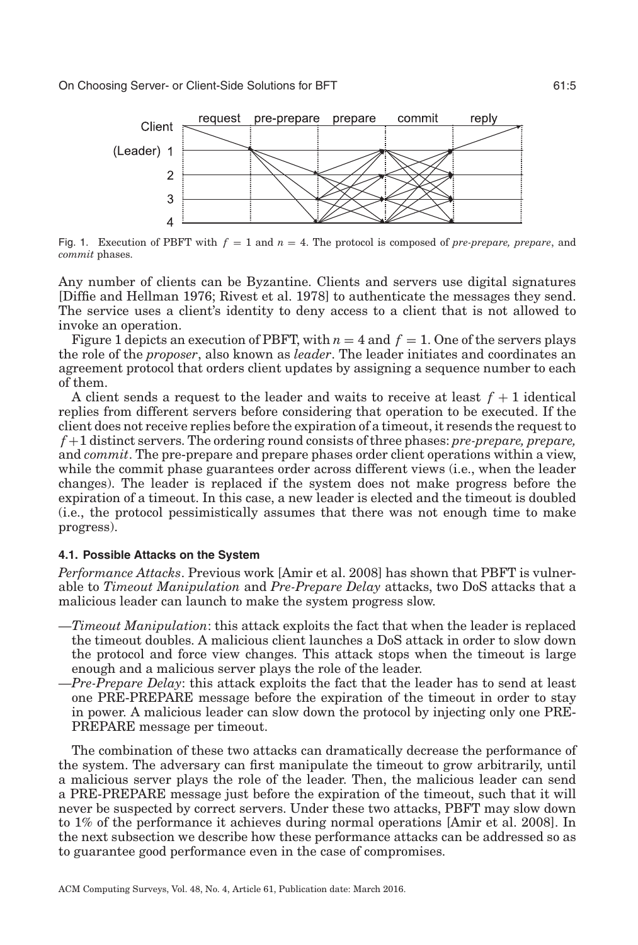<span id="page-4-0"></span>On Choosing Server- or Client-Side Solutions for BFT 61:5



Fig. 1. Execution of PBFT with  $f = 1$  and  $n = 4$ . The protocol is composed of *pre-prepare*, *prepare*, and *commit* phases.

Any number of clients can be Byzantine. Clients and servers use digital signatures [Diffie and Hellman [1976;](#page-27-6) Rivest et al. [1978\]](#page-29-3) to authenticate the messages they send. The service uses a client's identity to deny access to a client that is not allowed to invoke an operation.

Figure [1](#page-4-0) depicts an execution of PBFT, with  $n = 4$  and  $f = 1$ . One of the servers plays the role of the *proposer*, also known as *leader*. The leader initiates and coordinates an agreement protocol that orders client updates by assigning a sequence number to each of them.

A client sends a request to the leader and waits to receive at least *f* + 1 identical replies from different servers before considering that operation to be executed. If the client does not receive replies before the expiration of a timeout, it resends the request to *f* +1 distinct servers. The ordering round consists of three phases: *pre-prepare, prepare,* and *commit*. The pre-prepare and prepare phases order client operations within a view, while the commit phase guarantees order across different views (i.e., when the leader changes). The leader is replaced if the system does not make progress before the expiration of a timeout. In this case, a new leader is elected and the timeout is doubled (i.e., the protocol pessimistically assumes that there was not enough time to make progress).

#### **4.1. Possible Attacks on the System**

<span id="page-4-1"></span>*Performance Attacks*. Previous work [Amir et al. [2008\]](#page-27-2) has shown that PBFT is vulnerable to *Timeout Manipulation* and *Pre-Prepare Delay* attacks, two DoS attacks that a malicious leader can launch to make the system progress slow.

- —*Timeout Manipulation*: this attack exploits the fact that when the leader is replaced the timeout doubles. A malicious client launches a DoS attack in order to slow down the protocol and force view changes. This attack stops when the timeout is large enough and a malicious server plays the role of the leader.
- —*Pre-Prepare Delay*: this attack exploits the fact that the leader has to send at least one PRE-PREPARE message before the expiration of the timeout in order to stay in power. A malicious leader can slow down the protocol by injecting only one PRE-PREPARE message per timeout.

The combination of these two attacks can dramatically decrease the performance of the system. The adversary can first manipulate the timeout to grow arbitrarily, until a malicious server plays the role of the leader. Then, the malicious leader can send a PRE-PREPARE message just before the expiration of the timeout, such that it will never be suspected by correct servers. Under these two attacks, PBFT may slow down to 1% of the performance it achieves during normal operations [Amir et al. [2008\]](#page-27-2). In the next subsection we describe how these performance attacks can be addressed so as to guarantee good performance even in the case of compromises.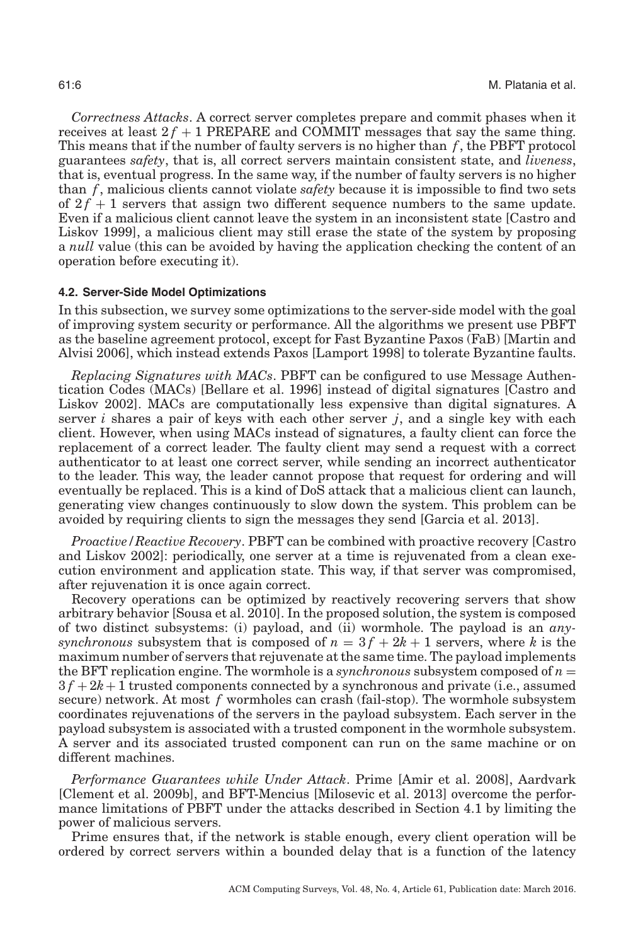*Correctness Attacks*. A correct server completes prepare and commit phases when it receives at least  $2f + 1$  PREPARE and COMMIT messages that say the same thing. This means that if the number of faulty servers is no higher than *f*, the PBFT protocol guarantees *safety*, that is, all correct servers maintain consistent state, and *liveness*, that is, eventual progress. In the same way, if the number of faulty servers is no higher than *f*, malicious clients cannot violate *safety* because it is impossible to find two sets of  $2f + 1$  servers that assign two different sequence numbers to the same update. Even if a malicious client cannot leave the system in an inconsistent state [Castro and Liskov [1999\]](#page-27-0), a malicious client may still erase the state of the system by proposing a *null* value (this can be avoided by having the application checking the content of an operation before executing it).

## **4.2. Server-Side Model Optimizations**

In this subsection, we survey some optimizations to the server-side model with the goal of improving system security or performance. All the algorithms we present use PBFT as the baseline agreement protocol, except for Fast Byzantine Paxos (FaB) [Martin and Alvisi [2006\]](#page-28-8), which instead extends Paxos [Lamport [1998\]](#page-28-9) to tolerate Byzantine faults.

*Replacing Signatures with MACs*. PBFT can be configured to use Message Authentication Codes (MACs) [Bellare et al. [1996\]](#page-27-7) instead of digital signatures [Castro and Liskov [2002\]](#page-27-8). MACs are computationally less expensive than digital signatures. A server *i* shares a pair of keys with each other server *j*, and a single key with each client. However, when using MACs instead of signatures, a faulty client can force the replacement of a correct leader. The faulty client may send a request with a correct authenticator to at least one correct server, while sending an incorrect authenticator to the leader. This way, the leader cannot propose that request for ordering and will eventually be replaced. This is a kind of DoS attack that a malicious client can launch, generating view changes continuously to slow down the system. This problem can be avoided by requiring clients to sign the messages they send [Garcia et al. [2013\]](#page-28-10).

*Proactive/Reactive Recovery*. PBFT can be combined with proactive recovery [Castro and Liskov [2002\]](#page-27-8): periodically, one server at a time is rejuvenated from a clean execution environment and application state. This way, if that server was compromised, after rejuvenation it is once again correct.

Recovery operations can be optimized by reactively recovering servers that show arbitrary behavior [Sousa et al. [2010\]](#page-29-4). In the proposed solution, the system is composed of two distinct subsystems: (i) payload, and (ii) wormhole. The payload is an *anysynchronous* subsystem that is composed of  $n = 3f + 2k + 1$  servers, where *k* is the maximum number of servers that rejuvenate at the same time. The payload implements the BFT replication engine. The wormhole is a *synchronous* subsystem composed of  $n =$  $3f + 2k + 1$  trusted components connected by a synchronous and private (i.e., assumed secure) network. At most *f* wormholes can crash (fail-stop). The wormhole subsystem coordinates rejuvenations of the servers in the payload subsystem. Each server in the payload subsystem is associated with a trusted component in the wormhole subsystem. A server and its associated trusted component can run on the same machine or on different machines.

*Performance Guarantees while Under Attack*. Prime [Amir et al. [2008\]](#page-27-2), Aardvark [Clement et al. [2009b\]](#page-27-3), and BFT-Mencius [Milosevic et al. [2013\]](#page-28-3) overcome the performance limitations of PBFT under the attacks described in Section [4.1](#page-4-1) by limiting the power of malicious servers.

Prime ensures that, if the network is stable enough, every client operation will be ordered by correct servers within a bounded delay that is a function of the latency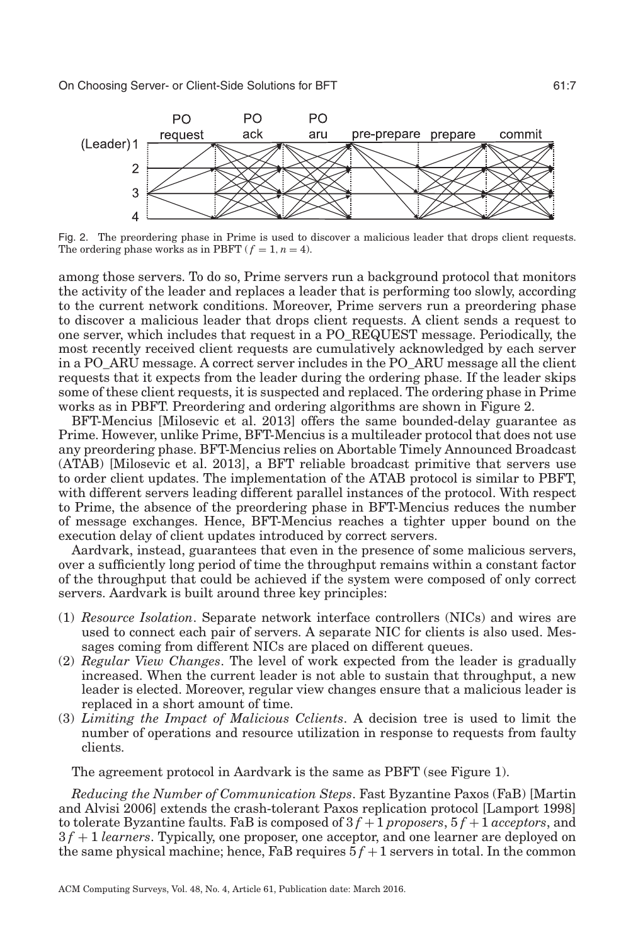On Choosing Server- or Client-Side Solutions for BFT 61:7

<span id="page-6-0"></span>

Fig. 2. The preordering phase in Prime is used to discover a malicious leader that drops client requests. The ordering phase works as in PBFT  $(f = 1, n = 4)$ .

among those servers. To do so, Prime servers run a background protocol that monitors the activity of the leader and replaces a leader that is performing too slowly, according to the current network conditions. Moreover, Prime servers run a preordering phase to discover a malicious leader that drops client requests. A client sends a request to one server, which includes that request in a PO\_REQUEST message. Periodically, the most recently received client requests are cumulatively acknowledged by each server in a PO\_ARU message. A correct server includes in the PO\_ARU message all the client requests that it expects from the leader during the ordering phase. If the leader skips some of these client requests, it is suspected and replaced. The ordering phase in Prime works as in PBFT. Preordering and ordering algorithms are shown in Figure [2.](#page-6-0)

BFT-Mencius [Milosevic et al. [2013\]](#page-28-3) offers the same bounded-delay guarantee as Prime. However, unlike Prime, BFT-Mencius is a multileader protocol that does not use any preordering phase. BFT-Mencius relies on Abortable Timely Announced Broadcast (ATAB) [Milosevic et al. [2013\]](#page-28-3), a BFT reliable broadcast primitive that servers use to order client updates. The implementation of the ATAB protocol is similar to PBFT, with different servers leading different parallel instances of the protocol. With respect to Prime, the absence of the preordering phase in BFT-Mencius reduces the number of message exchanges. Hence, BFT-Mencius reaches a tighter upper bound on the execution delay of client updates introduced by correct servers.

Aardvark, instead, guarantees that even in the presence of some malicious servers, over a sufficiently long period of time the throughput remains within a constant factor of the throughput that could be achieved if the system were composed of only correct servers. Aardvark is built around three key principles:

- (1) *Resource Isolation*. Separate network interface controllers (NICs) and wires are used to connect each pair of servers. A separate NIC for clients is also used. Messages coming from different NICs are placed on different queues.
- (2) *Regular View Changes*. The level of work expected from the leader is gradually increased. When the current leader is not able to sustain that throughput, a new leader is elected. Moreover, regular view changes ensure that a malicious leader is replaced in a short amount of time.
- (3) *Limiting the Impact of Malicious Cclients*. A decision tree is used to limit the number of operations and resource utilization in response to requests from faulty clients.

The agreement protocol in Aardvark is the same as PBFT (see Figure [1\)](#page-4-0).

*Reducing the Number of Communication Steps*. Fast Byzantine Paxos (FaB) [Martin and Alvisi [2006\]](#page-28-8) extends the crash-tolerant Paxos replication protocol [Lamport [1998\]](#page-28-9) to tolerate Byzantine faults. FaB is composed of  $3f + 1$  *proposers*,  $5f + 1$  *acceptors*, and 3 *f* + 1 *learners*. Typically, one proposer, one acceptor, and one learner are deployed on the same physical machine; hence, FaB requires  $5f + 1$  servers in total. In the common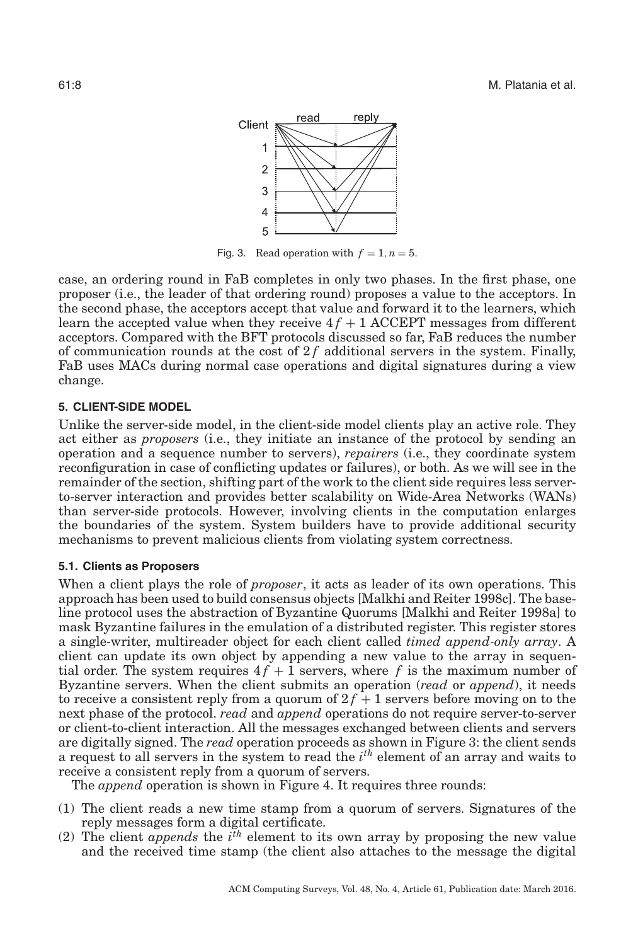

Fig. 3. Read operation with  $f = 1$ ,  $n = 5$ .

<span id="page-7-1"></span>case, an ordering round in FaB completes in only two phases. In the first phase, one proposer (i.e., the leader of that ordering round) proposes a value to the acceptors. In the second phase, the acceptors accept that value and forward it to the learners, which learn the accepted value when they receive  $4f + 1$  ACCEPT messages from different acceptors. Compared with the BFT protocols discussed so far, FaB reduces the number of communication rounds at the cost of  $2f$  additional servers in the system. Finally, FaB uses MACs during normal case operations and digital signatures during a view change.

## **5. CLIENT-SIDE MODEL**

<span id="page-7-0"></span>Unlike the server-side model, in the client-side model clients play an active role. They act either as *proposers* (i.e., they initiate an instance of the protocol by sending an operation and a sequence number to servers), *repairers* (i.e., they coordinate system reconfiguration in case of conflicting updates or failures), or both. As we will see in the remainder of the section, shifting part of the work to the client side requires less serverto-server interaction and provides better scalability on Wide-Area Networks (WANs) than server-side protocols. However, involving clients in the computation enlarges the boundaries of the system. System builders have to provide additional security mechanisms to prevent malicious clients from violating system correctness.

#### **5.1. Clients as Proposers**

When a client plays the role of *proposer*, it acts as leader of its own operations. This approach has been used to build consensus objects [Malkhi and Reiter [1998c\]](#page-28-4). The baseline protocol uses the abstraction of Byzantine Quorums [Malkhi and Reiter [1998a\]](#page-28-11) to mask Byzantine failures in the emulation of a distributed register. This register stores a single-writer, multireader object for each client called *timed append-only array*. A client can update its own object by appending a new value to the array in sequential order. The system requires  $4f + 1$  servers, where f is the maximum number of Byzantine servers. When the client submits an operation (*read* or *append*), it needs to receive a consistent reply from a quorum of  $2f + 1$  servers before moving on to the next phase of the protocol. *read* and *append* operations do not require server-to-server or client-to-client interaction. All the messages exchanged between clients and servers are digitally signed. The *read* operation proceeds as shown in Figure [3:](#page-7-1) the client sends a request to all servers in the system to read the *ith* element of an array and waits to receive a consistent reply from a quorum of servers.

The *append* operation is shown in Figure [4.](#page-8-0) It requires three rounds:

- (1) The client reads a new time stamp from a quorum of servers. Signatures of the reply messages form a digital certificate.
- (2) The client *appends* the *ith* element to its own array by proposing the new value and the received time stamp (the client also attaches to the message the digital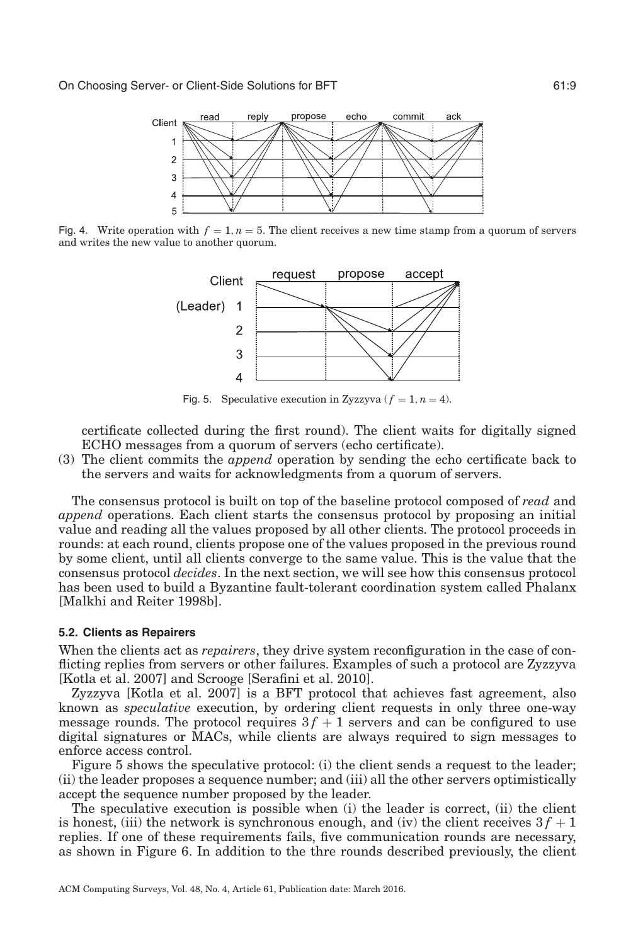<span id="page-8-0"></span>

<span id="page-8-1"></span>Fig. 4. Write operation with  $f = 1, n = 5$ . The client receives a new time stamp from a quorum of servers and writes the new value to another quorum.



Fig. 5. Speculative execution in Zyzzyva ( $f = 1$ ,  $n = 4$ ).

certificate collected during the first round). The client waits for digitally signed ECHO messages from a quorum of servers (echo certificate).

(3) The client commits the *append* operation by sending the echo certificate back to the servers and waits for acknowledgments from a quorum of servers.

The consensus protocol is built on top of the baseline protocol composed of *read* and *append* operations. Each client starts the consensus protocol by proposing an initial value and reading all the values proposed by all other clients. The protocol proceeds in rounds: at each round, clients propose one of the values proposed in the previous round by some client, until all clients converge to the same value. This is the value that the consensus protocol *decides*. In the next section, we will see how this consensus protocol has been used to build a Byzantine fault-tolerant coordination system called Phalanx [Malkhi and Reiter [1998b\]](#page-28-12).

#### **5.2. Clients as Repairers**

When the clients act as *repairers*, they drive system reconfiguration in the case of conflicting replies from servers or other failures. Examples of such a protocol are Zyzzyva [Kotla et al. [2007\]](#page-28-2) and Scrooge [Serafini et al. [2010\]](#page-29-0).

Zyzzyva [Kotla et al. [2007\]](#page-28-2) is a BFT protocol that achieves fast agreement, also known as *speculative* execution, by ordering client requests in only three one-way message rounds. The protocol requires  $3f + 1$  servers and can be configured to use digital signatures or MACs, while clients are always required to sign messages to enforce access control.

Figure [5](#page-8-1) shows the speculative protocol: (i) the client sends a request to the leader; (ii) the leader proposes a sequence number; and (iii) all the other servers optimistically accept the sequence number proposed by the leader.

The speculative execution is possible when (i) the leader is correct, (ii) the client is honest, (iii) the network is synchronous enough, and (iv) the client receives  $3f + 1$ replies. If one of these requirements fails, five communication rounds are necessary, as shown in Figure [6.](#page-9-0) In addition to the thre rounds described previously, the client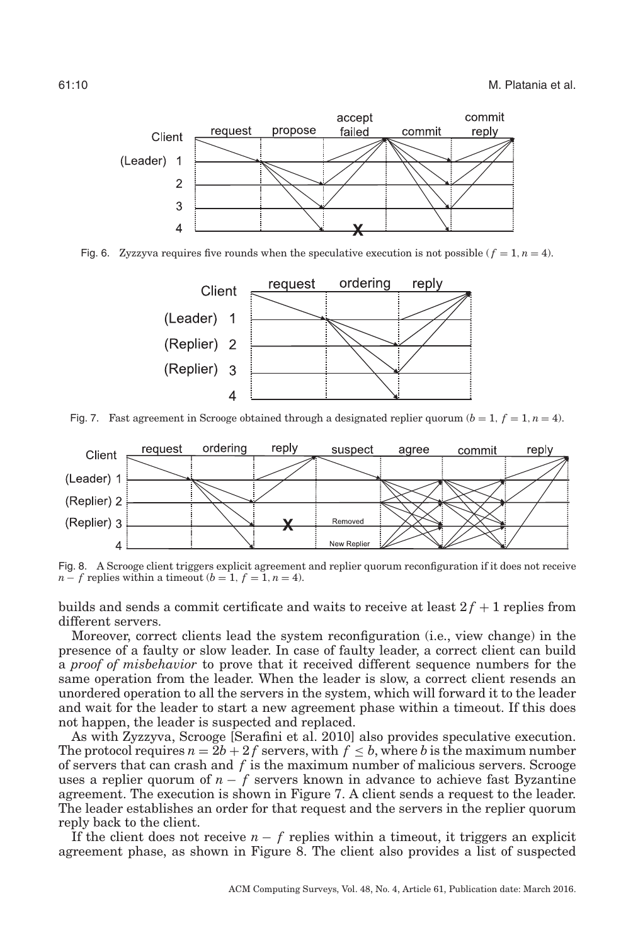<span id="page-9-0"></span>

<span id="page-9-1"></span>Fig. 6. Zyzzyva requires five rounds when the speculative execution is not possible  $(f = 1, n = 4)$ .



Fig. 7. Fast agreement in Scrooge obtained through a designated replier quorum  $(b = 1, f = 1, n = 4)$ .

<span id="page-9-2"></span>

Fig. 8. A Scrooge client triggers explicit agreement and replier quorum reconfiguration if it does not receive *n* − *f* replies within a timeout  $(b = 1, f = 1, n = 4)$ .

builds and sends a commit certificate and waits to receive at least  $2f + 1$  replies from different servers.

Moreover, correct clients lead the system reconfiguration (i.e., view change) in the presence of a faulty or slow leader. In case of faulty leader, a correct client can build a *proof of misbehavior* to prove that it received different sequence numbers for the same operation from the leader. When the leader is slow, a correct client resends an unordered operation to all the servers in the system, which will forward it to the leader and wait for the leader to start a new agreement phase within a timeout. If this does not happen, the leader is suspected and replaced.

As with Zyzzyva, Scrooge [Serafini et al. [2010\]](#page-29-0) also provides speculative execution. The protocol requires  $n = 2b + 2f$  servers, with  $f \leq b$ , where *b* is the maximum number of servers that can crash and *f* is the maximum number of malicious servers. Scrooge uses a replier quorum of *n* − *f* servers known in advance to achieve fast Byzantine agreement. The execution is shown in Figure [7.](#page-9-1) A client sends a request to the leader. The leader establishes an order for that request and the servers in the replier quorum reply back to the client.

If the client does not receive  $n - f$  replies within a timeout, it triggers an explicit agreement phase, as shown in Figure [8.](#page-9-2) The client also provides a list of suspected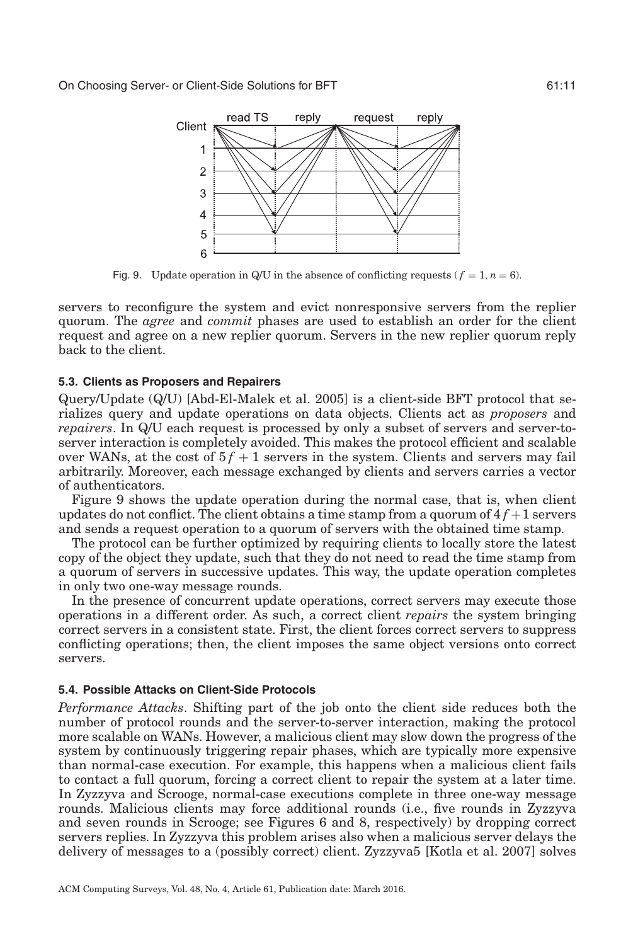<span id="page-10-0"></span>

Fig. 9. Update operation in Q/U in the absence of conflicting requests  $(f = 1, n = 6)$ .

servers to reconfigure the system and evict nonresponsive servers from the replier quorum. The *agree* and *commit* phases are used to establish an order for the client request and agree on a new replier quorum. Servers in the new replier quorum reply back to the client.

## **5.3. Clients as Proposers and Repairers**

Query/Update (Q/U) [Abd-El-Malek et al. [2005\]](#page-27-1) is a client-side BFT protocol that serializes query and update operations on data objects. Clients act as *proposers* and *repairers*. In Q/U each request is processed by only a subset of servers and server-toserver interaction is completely avoided. This makes the protocol efficient and scalable over WANs, at the cost of  $5f + 1$  servers in the system. Clients and servers may fail arbitrarily. Moreover, each message exchanged by clients and servers carries a vector of authenticators.

Figure [9](#page-10-0) shows the update operation during the normal case, that is, when client updates do not conflict. The client obtains a time stamp from a quorum of  $4f+1$  servers and sends a request operation to a quorum of servers with the obtained time stamp.

The protocol can be further optimized by requiring clients to locally store the latest copy of the object they update, such that they do not need to read the time stamp from a quorum of servers in successive updates. This way, the update operation completes in only two one-way message rounds.

In the presence of concurrent update operations, correct servers may execute those operations in a different order. As such, a correct client *repairs* the system bringing correct servers in a consistent state. First, the client forces correct servers to suppress conflicting operations; then, the client imposes the same object versions onto correct servers.

#### **5.4. Possible Attacks on Client-Side Protocols**

*Performance Attacks*. Shifting part of the job onto the client side reduces both the number of protocol rounds and the server-to-server interaction, making the protocol more scalable on WANs. However, a malicious client may slow down the progress of the system by continuously triggering repair phases, which are typically more expensive than normal-case execution. For example, this happens when a malicious client fails to contact a full quorum, forcing a correct client to repair the system at a later time. In Zyzzyva and Scrooge, normal-case executions complete in three one-way message rounds. Malicious clients may force additional rounds (i.e., five rounds in Zyzzyva and seven rounds in Scrooge; see Figures [6](#page-9-0) and [8,](#page-9-2) respectively) by dropping correct servers replies. In Zyzzyva this problem arises also when a malicious server delays the delivery of messages to a (possibly correct) client. Zyzzyva5 [Kotla et al. [2007\]](#page-28-2) solves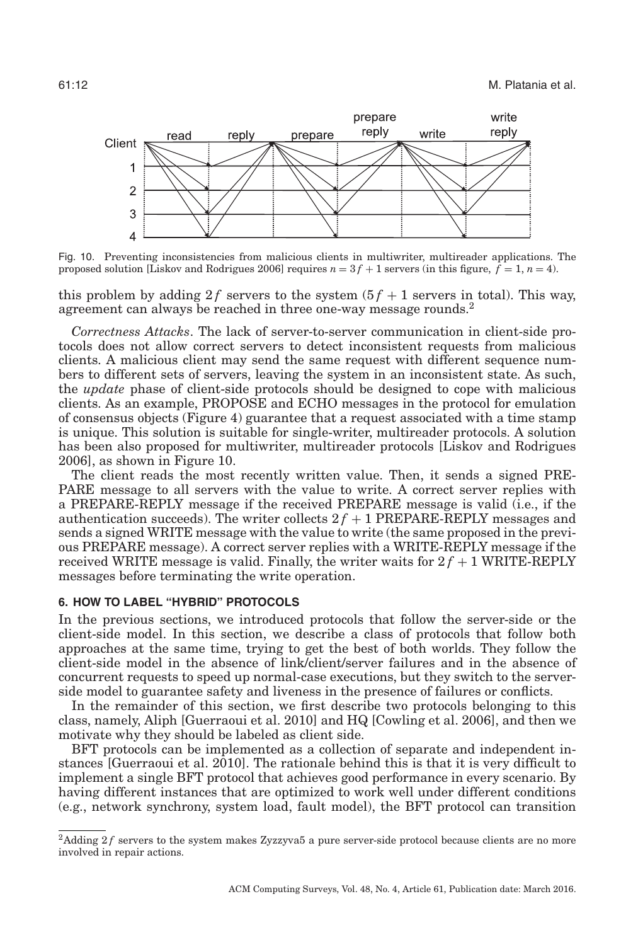<span id="page-11-2"></span>

Fig. 10. Preventing inconsistencies from malicious clients in multiwriter, multireader applications. The proposed solution [Liskov and Rodrigues [2006\]](#page-28-13) requires  $n = 3f + 1$  servers (in this figure,  $f = 1$ ,  $n = 4$ ).

this problem by adding  $2f$  servers to the system  $(5f + 1$  servers in total). This way, agreement can always be reached in three one-way message rounds.[2](#page-11-1)

*Correctness Attacks*. The lack of server-to-server communication in client-side protocols does not allow correct servers to detect inconsistent requests from malicious clients. A malicious client may send the same request with different sequence numbers to different sets of servers, leaving the system in an inconsistent state. As such, the *update* phase of client-side protocols should be designed to cope with malicious clients. As an example, PROPOSE and ECHO messages in the protocol for emulation of consensus objects (Figure [4\)](#page-8-0) guarantee that a request associated with a time stamp is unique. This solution is suitable for single-writer, multireader protocols. A solution has been also proposed for multiwriter, multireader protocols [Liskov and Rodrigues [2006\]](#page-28-13), as shown in Figure [10.](#page-11-2)

The client reads the most recently written value. Then, it sends a signed PRE-PARE message to all servers with the value to write. A correct server replies with a PREPARE-REPLY message if the received PREPARE message is valid (i.e., if the authentication succeeds). The writer collects  $2f + 1$  PREPARE-REPLY messages and sends a signed WRITE message with the value to write (the same proposed in the previous PREPARE message). A correct server replies with a WRITE-REPLY message if the received WRITE message is valid. Finally, the writer waits for  $2f + 1$  WRITE-REPLY messages before terminating the write operation.

#### **6. HOW TO LABEL "HYBRID" PROTOCOLS**

<span id="page-11-0"></span>In the previous sections, we introduced protocols that follow the server-side or the client-side model. In this section, we describe a class of protocols that follow both approaches at the same time, trying to get the best of both worlds. They follow the client-side model in the absence of link/client/server failures and in the absence of concurrent requests to speed up normal-case executions, but they switch to the serverside model to guarantee safety and liveness in the presence of failures or conflicts.

In the remainder of this section, we first describe two protocols belonging to this class, namely, Aliph [Guerraoui et al. [2010\]](#page-28-6) and HQ [Cowling et al. [2006\]](#page-27-5), and then we motivate why they should be labeled as client side.

BFT protocols can be implemented as a collection of separate and independent instances [Guerraoui et al. [2010\]](#page-28-6). The rationale behind this is that it is very difficult to implement a single BFT protocol that achieves good performance in every scenario. By having different instances that are optimized to work well under different conditions (e.g., network synchrony, system load, fault model), the BFT protocol can transition

<span id="page-11-1"></span><sup>&</sup>lt;sup>2</sup>Adding  $2f$  servers to the system makes Zyzzyva5 a pure server-side protocol because clients are no more involved in repair actions.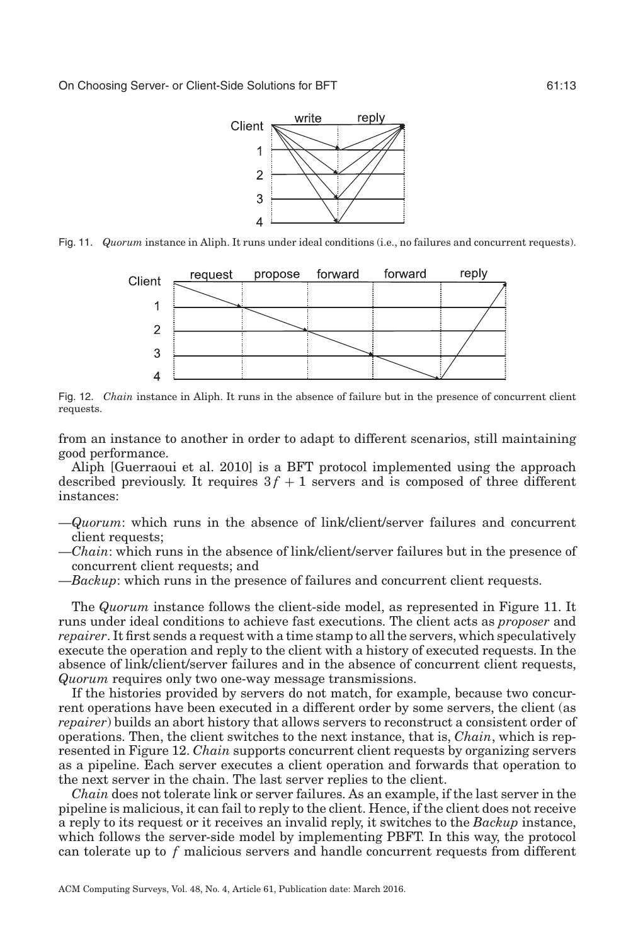

<span id="page-12-1"></span><span id="page-12-0"></span>Fig. 11. *Quorum* instance in Aliph. It runs under ideal conditions (i.e., no failures and concurrent requests).



Fig. 12. *Chain* instance in Aliph. It runs in the absence of failure but in the presence of concurrent client requests.

from an instance to another in order to adapt to different scenarios, still maintaining good performance.

Aliph [Guerraoui et al. [2010\]](#page-28-6) is a BFT protocol implemented using the approach described previously. It requires  $3f + 1$  servers and is composed of three different instances:

- —*Quorum*: which runs in the absence of link/client/server failures and concurrent client requests;
- —*Chain*: which runs in the absence of link/client/server failures but in the presence of concurrent client requests; and
- —*Backup*: which runs in the presence of failures and concurrent client requests.

The *Quorum* instance follows the client-side model, as represented in Figure [11.](#page-12-0) It runs under ideal conditions to achieve fast executions. The client acts as *proposer* and *repairer*. It first sends a request with a time stamp to all the servers, which speculatively execute the operation and reply to the client with a history of executed requests. In the absence of link/client/server failures and in the absence of concurrent client requests, *Quorum* requires only two one-way message transmissions.

If the histories provided by servers do not match, for example, because two concurrent operations have been executed in a different order by some servers, the client (as *repairer*) builds an abort history that allows servers to reconstruct a consistent order of operations. Then, the client switches to the next instance, that is, *Chain*, which is represented in Figure [12.](#page-12-1) *Chain* supports concurrent client requests by organizing servers as a pipeline. Each server executes a client operation and forwards that operation to the next server in the chain. The last server replies to the client.

*Chain* does not tolerate link or server failures. As an example, if the last server in the pipeline is malicious, it can fail to reply to the client. Hence, if the client does not receive a reply to its request or it receives an invalid reply, it switches to the *Backup* instance, which follows the server-side model by implementing PBFT. In this way, the protocol can tolerate up to *f* malicious servers and handle concurrent requests from different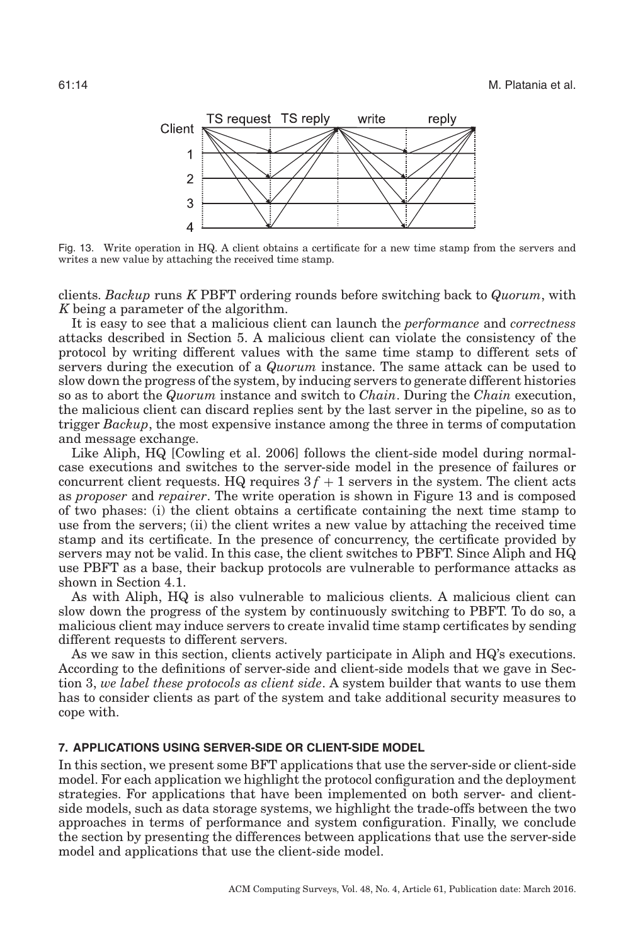<span id="page-13-1"></span>

Fig. 13. Write operation in HQ. A client obtains a certificate for a new time stamp from the servers and writes a new value by attaching the received time stamp.

clients. *Backup* runs *K* PBFT ordering rounds before switching back to *Quorum*, with *K* being a parameter of the algorithm.

It is easy to see that a malicious client can launch the *performance* and *correctness* attacks described in Section [5.](#page-7-0) A malicious client can violate the consistency of the protocol by writing different values with the same time stamp to different sets of servers during the execution of a *Quorum* instance. The same attack can be used to slow down the progress of the system, by inducing servers to generate different histories so as to abort the *Quorum* instance and switch to *Chain*. During the *Chain* execution, the malicious client can discard replies sent by the last server in the pipeline, so as to trigger *Backup*, the most expensive instance among the three in terms of computation and message exchange.

Like Aliph, HQ [Cowling et al. [2006\]](#page-27-5) follows the client-side model during normalcase executions and switches to the server-side model in the presence of failures or concurrent client requests. HQ requires  $3f + 1$  servers in the system. The client acts as *proposer* and *repairer*. The write operation is shown in Figure [13](#page-13-1) and is composed of two phases: (i) the client obtains a certificate containing the next time stamp to use from the servers; (ii) the client writes a new value by attaching the received time stamp and its certificate. In the presence of concurrency, the certificate provided by servers may not be valid. In this case, the client switches to PBFT. Since Aliph and HQ use PBFT as a base, their backup protocols are vulnerable to performance attacks as shown in Section [4.1.](#page-4-1)

As with Aliph, HQ is also vulnerable to malicious clients. A malicious client can slow down the progress of the system by continuously switching to PBFT. To do so, a malicious client may induce servers to create invalid time stamp certificates by sending different requests to different servers.

As we saw in this section, clients actively participate in Aliph and HQ's executions. According to the definitions of server-side and client-side models that we gave in Section [3,](#page-3-0) *we label these protocols as client side*. A system builder that wants to use them has to consider clients as part of the system and take additional security measures to cope with.

## **7. APPLICATIONS USING SERVER-SIDE OR CLIENT-SIDE MODEL**

<span id="page-13-0"></span>In this section, we present some BFT applications that use the server-side or client-side model. For each application we highlight the protocol configuration and the deployment strategies. For applications that have been implemented on both server- and clientside models, such as data storage systems, we highlight the trade-offs between the two approaches in terms of performance and system configuration. Finally, we conclude the section by presenting the differences between applications that use the server-side model and applications that use the client-side model.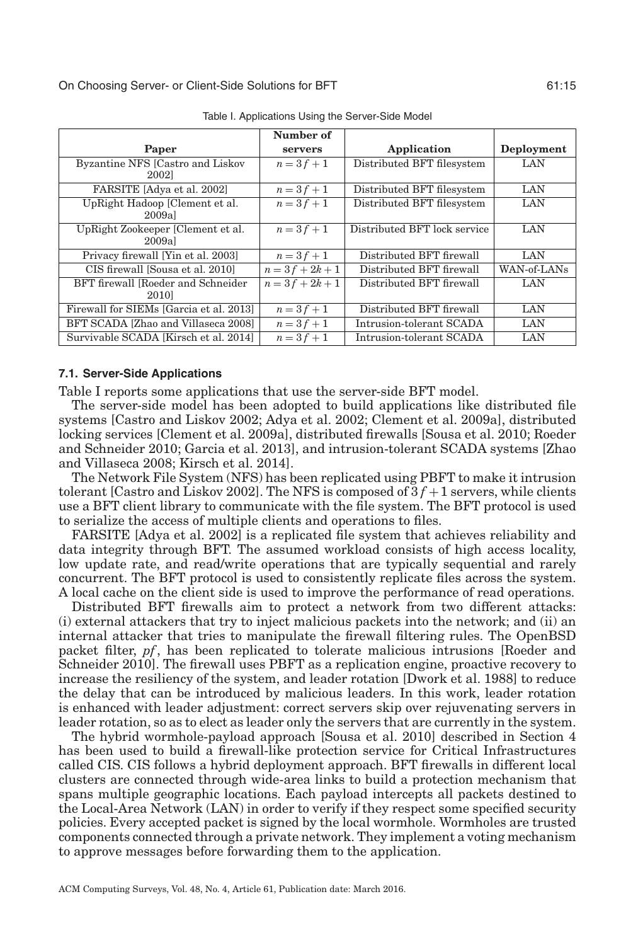<span id="page-14-0"></span>

|                                             | Number of         |                              |             |
|---------------------------------------------|-------------------|------------------------------|-------------|
| Paper                                       | servers           | Application                  | Deployment  |
| Byzantine NFS [Castro and Liskov<br>2002]   | $n = 3f + 1$      | Distributed BFT filesystem   | LAN         |
| FARSITE [Adva et al. 2002]                  | $n = 3f + 1$      | Distributed BFT filesystem   | <b>LAN</b>  |
| UpRight Hadoop [Clement et al.<br>2009a     | $n = 3f + 1$      | Distributed BFT filesystem   | LAN         |
| UpRight Zookeeper [Clement et al.<br>2009a  | $n = 3f + 1$      | Distributed BFT lock service | LAN         |
| Privacy firewall [Yin et al. 2003]          | $n = 3f + 1$      | Distributed BFT firewall     | LAN         |
| CIS firewall [Sousa et al. 2010]            | $n = 3f + 2k + 1$ | Distributed BFT firewall     | WAN-of-LANs |
| BFT firewall [Roeder and Schneider<br>20101 | $n = 3f + 2k + 1$ | Distributed BFT firewall     | <b>LAN</b>  |
| Firewall for SIEMs [Garcia et al. 2013]     | $n = 3f + 1$      | Distributed BFT firewall     | <b>LAN</b>  |
| BFT SCADA [Zhao and Villaseca 2008]         | $n = 3f + 1$      | Intrusion-tolerant SCADA     | <b>LAN</b>  |
| Survivable SCADA [Kirsch et al. 2014]       | $n = 3f + 1$      | Intrusion-tolerant SCADA     | LAN         |

Table I. Applications Using the Server-Side Model

#### **7.1. Server-Side Applications**

<span id="page-14-1"></span>Table [I](#page-14-0) reports some applications that use the server-side BFT model.

The server-side model has been adopted to build applications like distributed file systems [Castro and Liskov [2002;](#page-27-8) Adya et al. [2002;](#page-27-9) Clement et al. [2009a\]](#page-27-10), distributed locking services [Clement et al. [2009a\]](#page-27-10), distributed firewalls [Sousa et al. [2010;](#page-29-4) Roeder and Schneider [2010;](#page-29-6) Garcia et al. [2013\]](#page-28-10), and intrusion-tolerant SCADA systems [Zhao and Villaseca [2008;](#page-29-7) Kirsch et al. [2014\]](#page-28-14).

The Network File System (NFS) has been replicated using PBFT to make it intrusion tolerant [Castro and Liskov [2002\]](#page-27-8). The NFS is composed of  $3f+1$  servers, while clients use a BFT client library to communicate with the file system. The BFT protocol is used to serialize the access of multiple clients and operations to files.

FARSITE [Adya et al. [2002\]](#page-27-9) is a replicated file system that achieves reliability and data integrity through BFT. The assumed workload consists of high access locality, low update rate, and read/write operations that are typically sequential and rarely concurrent. The BFT protocol is used to consistently replicate files across the system. A local cache on the client side is used to improve the performance of read operations.

Distributed BFT firewalls aim to protect a network from two different attacks: (i) external attackers that try to inject malicious packets into the network; and (ii) an internal attacker that tries to manipulate the firewall filtering rules. The OpenBSD packet filter, *pf*, has been replicated to tolerate malicious intrusions [Roeder and Schneider [2010\]](#page-29-6). The firewall uses PBFT as a replication engine, proactive recovery to increase the resiliency of the system, and leader rotation [Dwork et al. [1988\]](#page-27-11) to reduce the delay that can be introduced by malicious leaders. In this work, leader rotation is enhanced with leader adjustment: correct servers skip over rejuvenating servers in leader rotation, so as to elect as leader only the servers that are currently in the system.

The hybrid wormhole-payload approach [Sousa et al. [2010\]](#page-29-4) described in Section [4](#page-3-1) has been used to build a firewall-like protection service for Critical Infrastructures called CIS. CIS follows a hybrid deployment approach. BFT firewalls in different local clusters are connected through wide-area links to build a protection mechanism that spans multiple geographic locations. Each payload intercepts all packets destined to the Local-Area Network (LAN) in order to verify if they respect some specified security policies. Every accepted packet is signed by the local wormhole. Wormholes are trusted components connected through a private network. They implement a voting mechanism to approve messages before forwarding them to the application.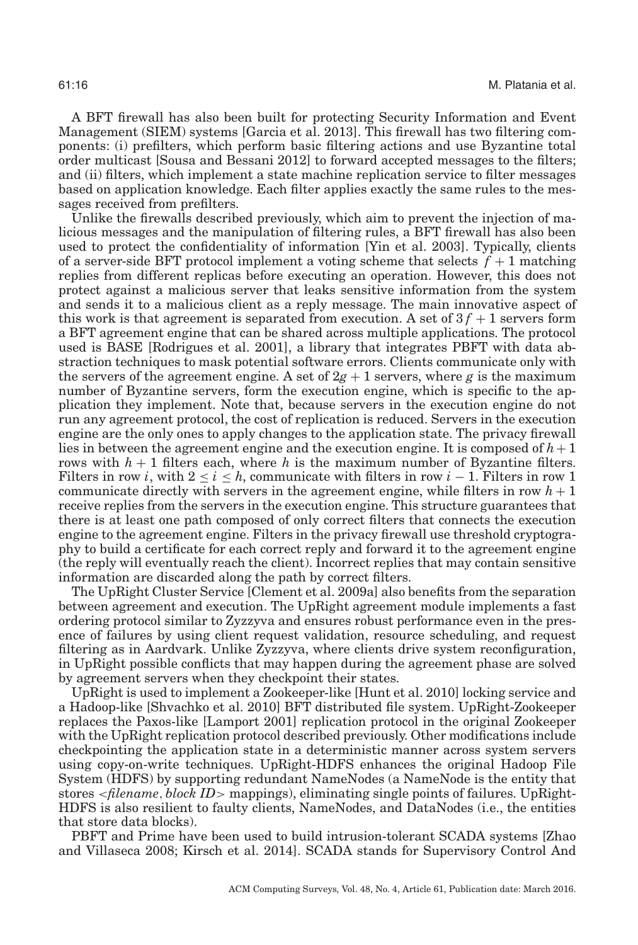A BFT firewall has also been built for protecting Security Information and Event Management (SIEM) systems [Garcia et al. [2013\]](#page-28-10). This firewall has two filtering components: (i) prefilters, which perform basic filtering actions and use Byzantine total order multicast [Sousa and Bessani [2012\]](#page-29-1) to forward accepted messages to the filters; and (ii) filters, which implement a state machine replication service to filter messages based on application knowledge. Each filter applies exactly the same rules to the messages received from prefilters.

Unlike the firewalls described previously, which aim to prevent the injection of malicious messages and the manipulation of filtering rules, a BFT firewall has also been used to protect the confidentiality of information [Yin et al. [2003\]](#page-29-5). Typically, clients of a server-side BFT protocol implement a voting scheme that selects  $f + 1$  matching replies from different replicas before executing an operation. However, this does not protect against a malicious server that leaks sensitive information from the system and sends it to a malicious client as a reply message. The main innovative aspect of this work is that agreement is separated from execution. A set of  $3f + 1$  servers form a BFT agreement engine that can be shared across multiple applications. The protocol used is BASE [Rodrigues et al. [2001\]](#page-29-8), a library that integrates PBFT with data abstraction techniques to mask potential software errors. Clients communicate only with the servers of the agreement engine. A set of  $2g + 1$  servers, where *g* is the maximum number of Byzantine servers, form the execution engine, which is specific to the application they implement. Note that, because servers in the execution engine do not run any agreement protocol, the cost of replication is reduced. Servers in the execution engine are the only ones to apply changes to the application state. The privacy firewall lies in between the agreement engine and the execution engine. It is composed of  $h+1$ rows with  $h + 1$  filters each, where h is the maximum number of Byzantine filters. Filters in row *i*, with  $2 \le i \le h$ , communicate with filters in row *i* − 1. Filters in row 1 communicate directly with servers in the agreement engine, while filters in row  $h + 1$ receive replies from the servers in the execution engine. This structure guarantees that there is at least one path composed of only correct filters that connects the execution engine to the agreement engine. Filters in the privacy firewall use threshold cryptography to build a certificate for each correct reply and forward it to the agreement engine (the reply will eventually reach the client). Incorrect replies that may contain sensitive information are discarded along the path by correct filters.

The UpRight Cluster Service [Clement et al. [2009a\]](#page-27-10) also benefits from the separation between agreement and execution. The UpRight agreement module implements a fast ordering protocol similar to Zyzzyva and ensures robust performance even in the presence of failures by using client request validation, resource scheduling, and request filtering as in Aardvark. Unlike Zyzzyva, where clients drive system reconfiguration, in UpRight possible conflicts that may happen during the agreement phase are solved by agreement servers when they checkpoint their states.

UpRight is used to implement a Zookeeper-like [Hunt et al. [2010\]](#page-28-15) locking service and a Hadoop-like [Shvachko et al. [2010\]](#page-29-9) BFT distributed file system. UpRight-Zookeeper replaces the Paxos-like [Lamport [2001\]](#page-28-16) replication protocol in the original Zookeeper with the UpRight replication protocol described previously. Other modifications include checkpointing the application state in a deterministic manner across system servers using copy-on-write techniques. UpRight-HDFS enhances the original Hadoop File System (HDFS) by supporting redundant NameNodes (a NameNode is the entity that stores <*filename*, *block ID*> mappings), eliminating single points of failures. UpRight-HDFS is also resilient to faulty clients, NameNodes, and DataNodes (i.e., the entities that store data blocks).

PBFT and Prime have been used to build intrusion-tolerant SCADA systems [Zhao and Villaseca [2008;](#page-29-7) Kirsch et al. [2014\]](#page-28-14). SCADA stands for Supervisory Control And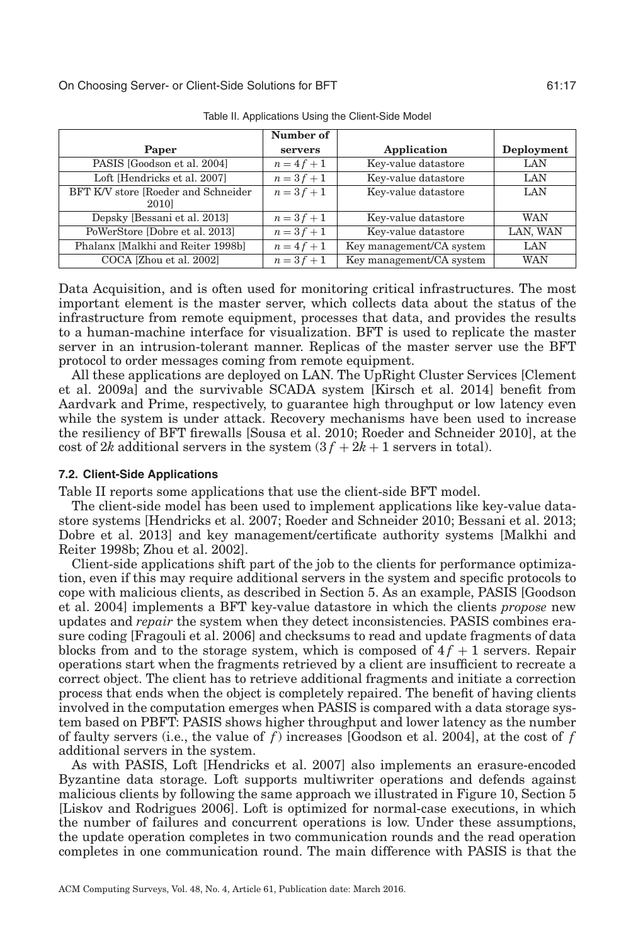<span id="page-16-0"></span>

|                                              | Number of    |                          |            |
|----------------------------------------------|--------------|--------------------------|------------|
| Paper                                        | servers      | Application              | Deployment |
| PASIS [Goodson et al. 2004]                  | $n = 4f + 1$ | Key-value datastore      | LAN        |
| Loft [Hendricks et al. 2007]                 | $n = 3f + 1$ | Key-value datastore      | LAN        |
| BFT K/V store [Roeder and Schneider<br>2010] | $n = 3f + 1$ | Key-value datastore      | LAN        |
|                                              |              |                          |            |
| Depsky [Bessani et al. 2013]                 | $n = 3f + 1$ | Key-value datastore      | WAN        |
| PoWerStore [Dobre et al. 2013]               | $n = 3f + 1$ | Key-value datastore      | LAN, WAN   |
| Phalanx [Malkhi and Reiter 1998b]            | $n = 4f + 1$ | Key management/CA system | LAN        |
| COCA [Zhou et al. 2002]                      | $n = 3f + 1$ | Key management/CA system | <b>WAN</b> |

Table II. Applications Using the Client-Side Model

Data Acquisition, and is often used for monitoring critical infrastructures. The most important element is the master server, which collects data about the status of the infrastructure from remote equipment, processes that data, and provides the results to a human-machine interface for visualization. BFT is used to replicate the master server in an intrusion-tolerant manner. Replicas of the master server use the BFT protocol to order messages coming from remote equipment.

All these applications are deployed on LAN. The UpRight Cluster Services [Clement et al. [2009a\]](#page-27-10) and the survivable SCADA system [Kirsch et al. [2014\]](#page-28-14) benefit from Aardvark and Prime, respectively, to guarantee high throughput or low latency even while the system is under attack. Recovery mechanisms have been used to increase the resiliency of BFT firewalls [Sousa et al. [2010;](#page-29-4) Roeder and Schneider [2010\]](#page-29-6), at the cost of 2*k* additional servers in the system  $(3f + 2k + 1$  servers in total).

## **7.2. Client-Side Applications**

Table [II](#page-16-0) reports some applications that use the client-side BFT model.

The client-side model has been used to implement applications like key-value datastore systems [Hendricks et al. [2007;](#page-28-18) Roeder and Schneider [2010;](#page-29-6) Bessani et al. [2013;](#page-27-12) Dobre et al. [2013\]](#page-27-13) and key management/certificate authority systems [Malkhi and Reiter [1998b;](#page-28-12) Zhou et al. [2002\]](#page-29-10).

Client-side applications shift part of the job to the clients for performance optimization, even if this may require additional servers in the system and specific protocols to cope with malicious clients, as described in Section [5.](#page-7-0) As an example, PASIS [Goodson et al. [2004\]](#page-28-17) implements a BFT key-value datastore in which the clients *propose* new updates and *repair* the system when they detect inconsistencies. PASIS combines erasure coding [Fragouli et al. [2006\]](#page-27-14) and checksums to read and update fragments of data blocks from and to the storage system, which is composed of  $4f + 1$  servers. Repair operations start when the fragments retrieved by a client are insufficient to recreate a correct object. The client has to retrieve additional fragments and initiate a correction process that ends when the object is completely repaired. The benefit of having clients involved in the computation emerges when PASIS is compared with a data storage system based on PBFT: PASIS shows higher throughput and lower latency as the number of faulty servers (i.e., the value of *f*) increases [Goodson et al. [2004\]](#page-28-17), at the cost of *f* additional servers in the system.

As with PASIS, Loft [Hendricks et al. [2007\]](#page-28-18) also implements an erasure-encoded Byzantine data storage. Loft supports multiwriter operations and defends against malicious clients by following the same approach we illustrated in Figure [10,](#page-11-2) Section [5](#page-7-0) [Liskov and Rodrigues [2006\]](#page-28-13). Loft is optimized for normal-case executions, in which the number of failures and concurrent operations is low. Under these assumptions, the update operation completes in two communication rounds and the read operation completes in one communication round. The main difference with PASIS is that the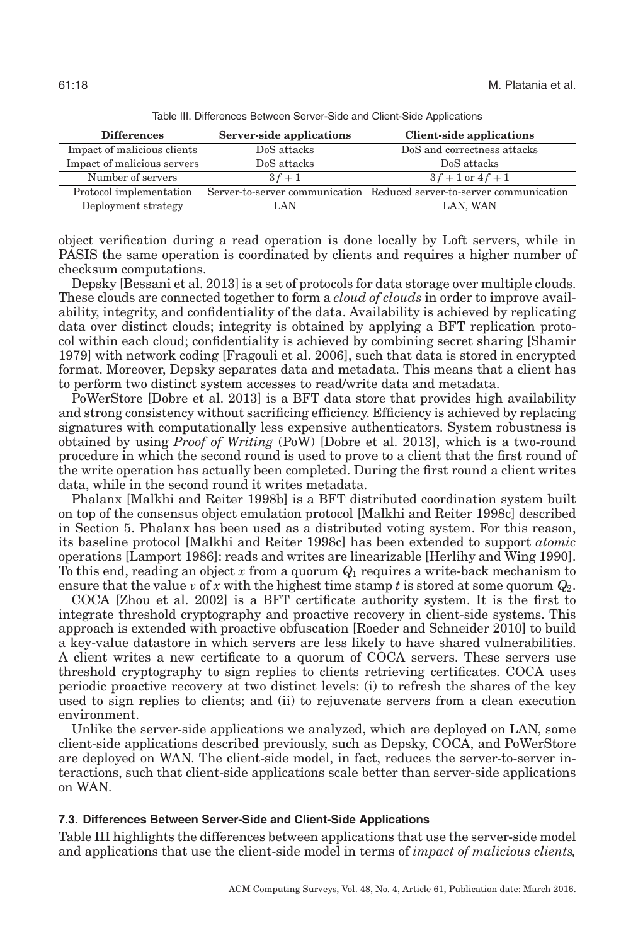<span id="page-17-0"></span>

| <b>Differences</b>          | Server-side applications | Client-side applications                                              |
|-----------------------------|--------------------------|-----------------------------------------------------------------------|
| Impact of malicious clients | DoS attacks              | DoS and correctness attacks                                           |
| Impact of malicious servers | DoS attacks              | DoS attacks                                                           |
| Number of servers           | $3f+1$                   | $3f + 1$ or $4f + 1$                                                  |
| Protocol implementation     |                          | Server-to-server communication Reduced server-to-server communication |
| Deployment strategy         | LAN                      | LAN, WAN                                                              |

Table III. Differences Between Server-Side and Client-Side Applications

object verification during a read operation is done locally by Loft servers, while in PASIS the same operation is coordinated by clients and requires a higher number of checksum computations.

Depsky [Bessani et al. [2013\]](#page-27-12) is a set of protocols for data storage over multiple clouds. These clouds are connected together to form a *cloud of clouds* in order to improve availability, integrity, and confidentiality of the data. Availability is achieved by replicating data over distinct clouds; integrity is obtained by applying a BFT replication protocol within each cloud; confidentiality is achieved by combining secret sharing [Shamir [1979\]](#page-29-11) with network coding [Fragouli et al. [2006\]](#page-27-14), such that data is stored in encrypted format. Moreover, Depsky separates data and metadata. This means that a client has to perform two distinct system accesses to read/write data and metadata.

PoWerStore [Dobre et al. [2013\]](#page-27-13) is a BFT data store that provides high availability and strong consistency without sacrificing efficiency. Efficiency is achieved by replacing signatures with computationally less expensive authenticators. System robustness is obtained by using *Proof of Writing* (PoW) [Dobre et al. [2013\]](#page-27-13), which is a two-round procedure in which the second round is used to prove to a client that the first round of the write operation has actually been completed. During the first round a client writes data, while in the second round it writes metadata.

Phalanx [Malkhi and Reiter [1998b\]](#page-28-12) is a BFT distributed coordination system built on top of the consensus object emulation protocol [Malkhi and Reiter [1998c\]](#page-28-4) described in Section [5.](#page-7-0) Phalanx has been used as a distributed voting system. For this reason, its baseline protocol [Malkhi and Reiter [1998c\]](#page-28-4) has been extended to support *atomic* operations [Lamport [1986\]](#page-28-19): reads and writes are linearizable [Herlihy and Wing [1990\]](#page-28-20). To this end, reading an object *x* from a quorum *Q*<sup>1</sup> requires a write-back mechanism to ensure that the value  $v$  of  $x$  with the highest time stamp  $t$  is stored at some quorum  $Q_2$ .

COCA [Zhou et al. [2002\]](#page-29-10) is a BFT certificate authority system. It is the first to integrate threshold cryptography and proactive recovery in client-side systems. This approach is extended with proactive obfuscation [Roeder and Schneider [2010\]](#page-29-6) to build a key-value datastore in which servers are less likely to have shared vulnerabilities. A client writes a new certificate to a quorum of COCA servers. These servers use threshold cryptography to sign replies to clients retrieving certificates. COCA uses periodic proactive recovery at two distinct levels: (i) to refresh the shares of the key used to sign replies to clients; and (ii) to rejuvenate servers from a clean execution environment.

Unlike the server-side applications we analyzed, which are deployed on LAN, some client-side applications described previously, such as Depsky, COCA, and PoWerStore are deployed on WAN. The client-side model, in fact, reduces the server-to-server interactions, such that client-side applications scale better than server-side applications on WAN.

#### **7.3. Differences Between Server-Side and Client-Side Applications**

Table [III](#page-17-0) highlights the differences between applications that use the server-side model and applications that use the client-side model in terms of *impact of malicious clients,*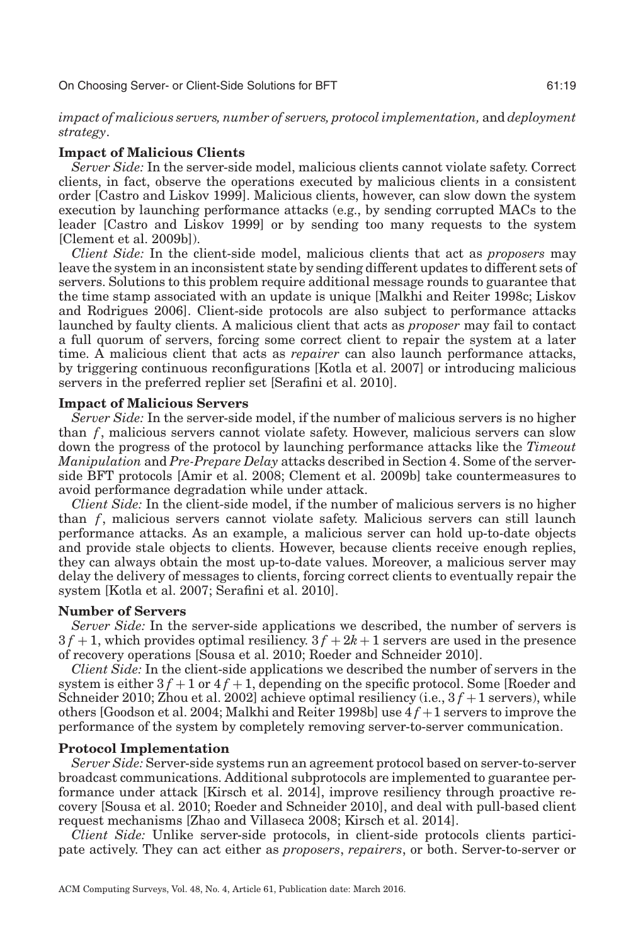## *impact of malicious servers, number of servers, protocol implementation,* and *deployment strategy*.

## **Impact of Malicious Clients**

*Server Side:* In the server-side model, malicious clients cannot violate safety. Correct clients, in fact, observe the operations executed by malicious clients in a consistent order [Castro and Liskov [1999\]](#page-27-0). Malicious clients, however, can slow down the system execution by launching performance attacks (e.g., by sending corrupted MACs to the leader [Castro and Liskov [1999\]](#page-27-0) or by sending too many requests to the system [Clement et al. [2009b\]](#page-27-3)).

*Client Side:* In the client-side model, malicious clients that act as *proposers* may leave the system in an inconsistent state by sending different updates to different sets of servers. Solutions to this problem require additional message rounds to guarantee that the time stamp associated with an update is unique [Malkhi and Reiter [1998c;](#page-28-4) Liskov and Rodrigues [2006\]](#page-28-13). Client-side protocols are also subject to performance attacks launched by faulty clients. A malicious client that acts as *proposer* may fail to contact a full quorum of servers, forcing some correct client to repair the system at a later time. A malicious client that acts as *repairer* can also launch performance attacks, by triggering continuous reconfigurations [Kotla et al. [2007\]](#page-28-2) or introducing malicious servers in the preferred replier set [Serafini et al. [2010\]](#page-29-0).

## **Impact of Malicious Servers**

*Server Side:* In the server-side model, if the number of malicious servers is no higher than *f*, malicious servers cannot violate safety. However, malicious servers can slow down the progress of the protocol by launching performance attacks like the *Timeout Manipulation* and *Pre-Prepare Delay* attacks described in Section [4.](#page-3-1) Some of the serverside BFT protocols [Amir et al. [2008;](#page-27-2) Clement et al. [2009b\]](#page-27-3) take countermeasures to avoid performance degradation while under attack.

*Client Side:* In the client-side model, if the number of malicious servers is no higher than *f*, malicious servers cannot violate safety. Malicious servers can still launch performance attacks. As an example, a malicious server can hold up-to-date objects and provide stale objects to clients. However, because clients receive enough replies, they can always obtain the most up-to-date values. Moreover, a malicious server may delay the delivery of messages to clients, forcing correct clients to eventually repair the system [Kotla et al. [2007;](#page-28-2) Serafini et al. [2010\]](#page-29-0).

## **Number of Servers**

*Server Side:* In the server-side applications we described, the number of servers is  $3f + 1$ , which provides optimal resiliency.  $3f + 2k + 1$  servers are used in the presence of recovery operations [Sousa et al. [2010;](#page-29-4) Roeder and Schneider [2010\]](#page-29-6).

*Client Side:* In the client-side applications we described the number of servers in the system is either  $3f + 1$  or  $4f + 1$ , depending on the specific protocol. Some [Roeder and Schneider [2010;](#page-29-6) Zhou et al. [2002\]](#page-29-10) achieve optimal resiliency (i.e., 3 *f* +1 servers), while others [Goodson et al. [2004;](#page-28-17) Malkhi and Reiter [1998b\]](#page-28-12) use 4 *f* +1 servers to improve the performance of the system by completely removing server-to-server communication.

#### **Protocol Implementation**

*Server Side:* Server-side systems run an agreement protocol based on server-to-server broadcast communications. Additional subprotocols are implemented to guarantee performance under attack [Kirsch et al. [2014\]](#page-28-14), improve resiliency through proactive recovery [Sousa et al. [2010;](#page-29-4) Roeder and Schneider [2010\]](#page-29-6), and deal with pull-based client request mechanisms [Zhao and Villaseca [2008;](#page-29-7) Kirsch et al. [2014\]](#page-28-14).

*Client Side:* Unlike server-side protocols, in client-side protocols clients participate actively. They can act either as *proposers*, *repairers*, or both. Server-to-server or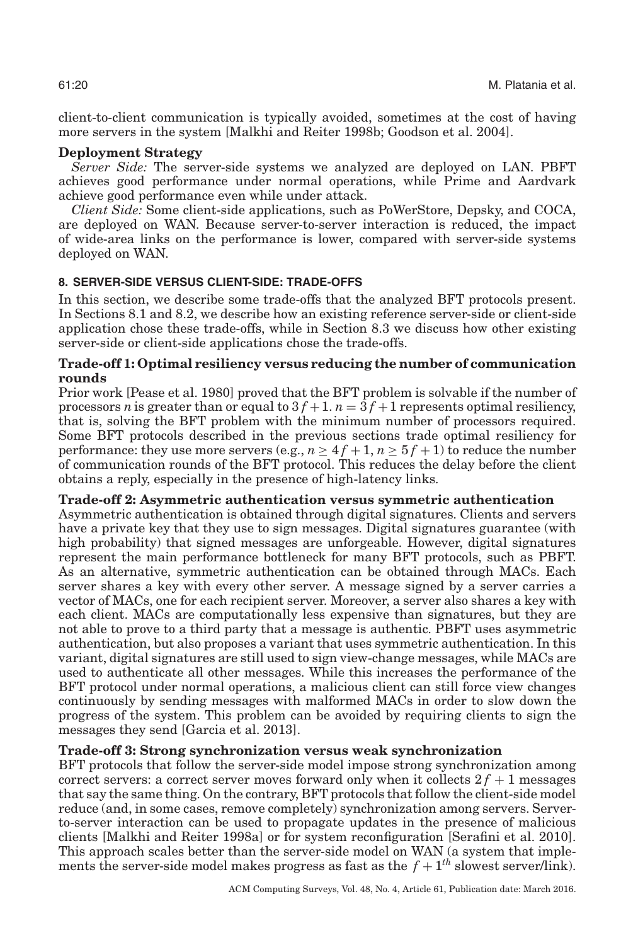client-to-client communication is typically avoided, sometimes at the cost of having more servers in the system [Malkhi and Reiter [1998b;](#page-28-12) Goodson et al. [2004\]](#page-28-17).

## **Deployment Strategy**

*Server Side:* The server-side systems we analyzed are deployed on LAN. PBFT achieves good performance under normal operations, while Prime and Aardvark achieve good performance even while under attack.

*Client Side:* Some client-side applications, such as PoWerStore, Depsky, and COCA, are deployed on WAN. Because server-to-server interaction is reduced, the impact of wide-area links on the performance is lower, compared with server-side systems deployed on WAN.

## **8. SERVER-SIDE VERSUS CLIENT-SIDE: TRADE-OFFS**

<span id="page-19-0"></span>In this section, we describe some trade-offs that the analyzed BFT protocols present. In Sections [8.1](#page-20-0) and [8.2,](#page-21-0) we describe how an existing reference server-side or client-side application chose these trade-offs, while in Section [8.3](#page-22-0) we discuss how other existing server-side or client-side applications chose the trade-offs.

## **Trade-off 1: Optimal resiliency versus reducing the number of communication rounds**

Prior work [Pease et al. [1980\]](#page-28-0) proved that the BFT problem is solvable if the number of processors *n* is greater than or equal to  $3f + 1$ .  $n = 3f + 1$  represents optimal resiliency, that is, solving the BFT problem with the minimum number of processors required. Some BFT protocols described in the previous sections trade optimal resiliency for performance: they use more servers (e.g.,  $n \geq 4f + 1$ ,  $n \geq 5f + 1$ ) to reduce the number of communication rounds of the BFT protocol. This reduces the delay before the client obtains a reply, especially in the presence of high-latency links.

## **Trade-off 2: Asymmetric authentication versus symmetric authentication**

Asymmetric authentication is obtained through digital signatures. Clients and servers have a private key that they use to sign messages. Digital signatures guarantee (with high probability) that signed messages are unforgeable. However, digital signatures represent the main performance bottleneck for many BFT protocols, such as PBFT. As an alternative, symmetric authentication can be obtained through MACs. Each server shares a key with every other server. A message signed by a server carries a vector of MACs, one for each recipient server. Moreover, a server also shares a key with each client. MACs are computationally less expensive than signatures, but they are not able to prove to a third party that a message is authentic. PBFT uses asymmetric authentication, but also proposes a variant that uses symmetric authentication. In this variant, digital signatures are still used to sign view-change messages, while MACs are used to authenticate all other messages. While this increases the performance of the BFT protocol under normal operations, a malicious client can still force view changes continuously by sending messages with malformed MACs in order to slow down the progress of the system. This problem can be avoided by requiring clients to sign the messages they send [Garcia et al. [2013\]](#page-28-10).

## **Trade-off 3: Strong synchronization versus weak synchronization**

BFT protocols that follow the server-side model impose strong synchronization among correct servers: a correct server moves forward only when it collects  $2f + 1$  messages that say the same thing. On the contrary, BFT protocols that follow the client-side model reduce (and, in some cases, remove completely) synchronization among servers. Serverto-server interaction can be used to propagate updates in the presence of malicious clients [Malkhi and Reiter [1998a\]](#page-28-11) or for system reconfiguration [Serafini et al. [2010\]](#page-29-0). This approach scales better than the server-side model on WAN (a system that implements the server-side model makes progress as fast as the  $f + 1<sup>th</sup>$  slowest server/link).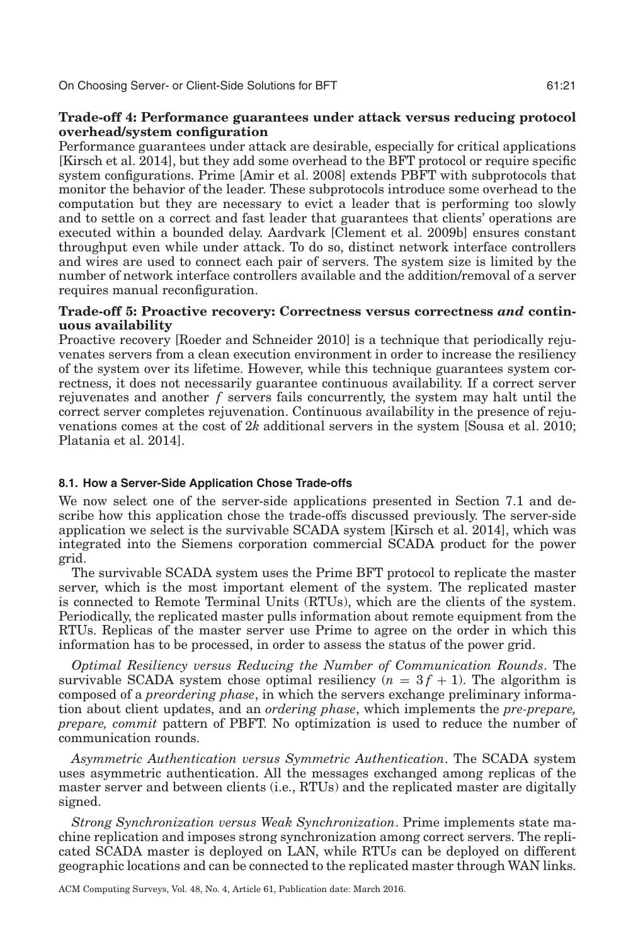## **Trade-off 4: Performance guarantees under attack versus reducing protocol overhead/system configuration**

Performance guarantees under attack are desirable, especially for critical applications [Kirsch et al. [2014\]](#page-28-14), but they add some overhead to the BFT protocol or require specific system configurations. Prime [Amir et al. [2008\]](#page-27-2) extends PBFT with subprotocols that monitor the behavior of the leader. These subprotocols introduce some overhead to the computation but they are necessary to evict a leader that is performing too slowly and to settle on a correct and fast leader that guarantees that clients' operations are executed within a bounded delay. Aardvark [Clement et al. [2009b\]](#page-27-3) ensures constant throughput even while under attack. To do so, distinct network interface controllers and wires are used to connect each pair of servers. The system size is limited by the number of network interface controllers available and the addition/removal of a server requires manual reconfiguration.

## **Trade-off 5: Proactive recovery: Correctness versus correctness** *and* **continuous availability**

Proactive recovery [Roeder and Schneider [2010\]](#page-29-6) is a technique that periodically rejuvenates servers from a clean execution environment in order to increase the resiliency of the system over its lifetime. However, while this technique guarantees system correctness, it does not necessarily guarantee continuous availability. If a correct server rejuvenates and another *f* servers fails concurrently, the system may halt until the correct server completes rejuvenation. Continuous availability in the presence of rejuvenations comes at the cost of 2*k* additional servers in the system [Sousa et al. [2010;](#page-29-4) Platania et al. [2014\]](#page-28-21).

## <span id="page-20-0"></span>**8.1. How a Server-Side Application Chose Trade-offs**

We now select one of the server-side applications presented in Section [7.1](#page-14-1) and describe how this application chose the trade-offs discussed previously. The server-side application we select is the survivable SCADA system [Kirsch et al. [2014\]](#page-28-14), which was integrated into the Siemens corporation commercial SCADA product for the power grid.

The survivable SCADA system uses the Prime BFT protocol to replicate the master server, which is the most important element of the system. The replicated master is connected to Remote Terminal Units (RTUs), which are the clients of the system. Periodically, the replicated master pulls information about remote equipment from the RTUs. Replicas of the master server use Prime to agree on the order in which this information has to be processed, in order to assess the status of the power grid.

*Optimal Resiliency versus Reducing the Number of Communication Rounds*. The survivable SCADA system chose optimal resiliency  $(n = 3f + 1)$ . The algorithm is composed of a *preordering phase*, in which the servers exchange preliminary information about client updates, and an *ordering phase*, which implements the *pre-prepare, prepare, commit* pattern of PBFT. No optimization is used to reduce the number of communication rounds.

*Asymmetric Authentication versus Symmetric Authentication*. The SCADA system uses asymmetric authentication. All the messages exchanged among replicas of the master server and between clients (i.e., RTUs) and the replicated master are digitally signed.

*Strong Synchronization versus Weak Synchronization*. Prime implements state machine replication and imposes strong synchronization among correct servers. The replicated SCADA master is deployed on LAN, while RTUs can be deployed on different geographic locations and can be connected to the replicated master through WAN links.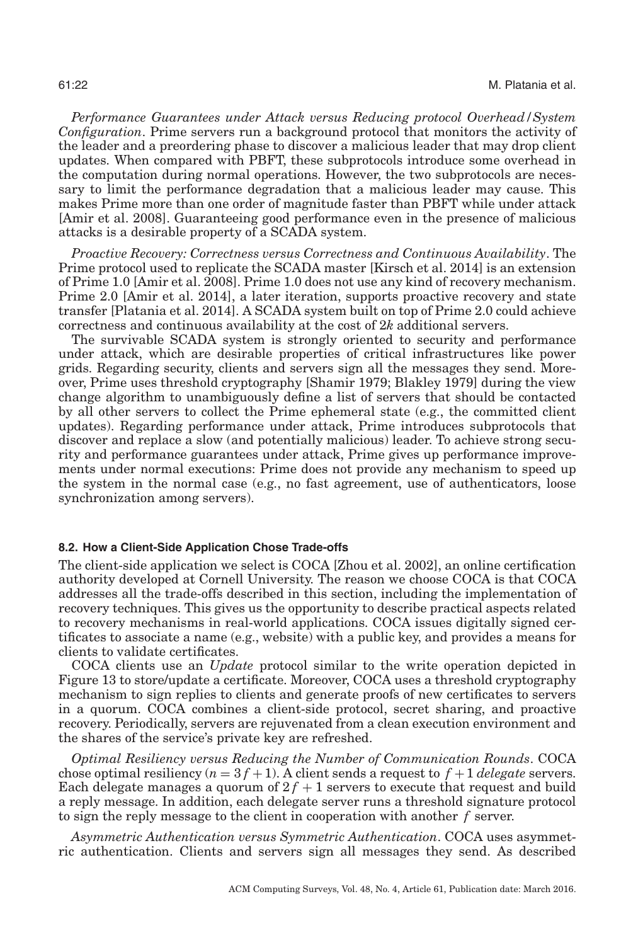*Performance Guarantees under Attack versus Reducing protocol Overhead/System Configuration*. Prime servers run a background protocol that monitors the activity of the leader and a preordering phase to discover a malicious leader that may drop client updates. When compared with PBFT, these subprotocols introduce some overhead in the computation during normal operations. However, the two subprotocols are necessary to limit the performance degradation that a malicious leader may cause. This makes Prime more than one order of magnitude faster than PBFT while under attack [Amir et al. [2008\]](#page-27-2). Guaranteeing good performance even in the presence of malicious attacks is a desirable property of a SCADA system.

*Proactive Recovery: Correctness versus Correctness and Continuous Availability*. The Prime protocol used to replicate the SCADA master [Kirsch et al. [2014\]](#page-28-14) is an extension of Prime 1.0 [Amir et al. [2008\]](#page-27-2). Prime 1.0 does not use any kind of recovery mechanism. Prime 2.0 [Amir et al. [2014\]](#page-27-15), a later iteration, supports proactive recovery and state transfer [Platania et al. [2014\]](#page-28-21). A SCADA system built on top of Prime 2.0 could achieve correctness and continuous availability at the cost of 2*k* additional servers.

The survivable SCADA system is strongly oriented to security and performance under attack, which are desirable properties of critical infrastructures like power grids. Regarding security, clients and servers sign all the messages they send. Moreover, Prime uses threshold cryptography [Shamir [1979;](#page-29-11) Blakley [1979\]](#page-27-16) during the view change algorithm to unambiguously define a list of servers that should be contacted by all other servers to collect the Prime ephemeral state (e.g., the committed client updates). Regarding performance under attack, Prime introduces subprotocols that discover and replace a slow (and potentially malicious) leader. To achieve strong security and performance guarantees under attack, Prime gives up performance improvements under normal executions: Prime does not provide any mechanism to speed up the system in the normal case (e.g., no fast agreement, use of authenticators, loose synchronization among servers).

#### **8.2. How a Client-Side Application Chose Trade-offs**

<span id="page-21-0"></span>The client-side application we select is COCA [Zhou et al. [2002\]](#page-29-10), an online certification authority developed at Cornell University. The reason we choose COCA is that COCA addresses all the trade-offs described in this section, including the implementation of recovery techniques. This gives us the opportunity to describe practical aspects related to recovery mechanisms in real-world applications. COCA issues digitally signed certificates to associate a name (e.g., website) with a public key, and provides a means for clients to validate certificates.

COCA clients use an *Update* protocol similar to the write operation depicted in Figure [13](#page-13-1) to store/update a certificate. Moreover, COCA uses a threshold cryptography mechanism to sign replies to clients and generate proofs of new certificates to servers in a quorum. COCA combines a client-side protocol, secret sharing, and proactive recovery. Periodically, servers are rejuvenated from a clean execution environment and the shares of the service's private key are refreshed.

*Optimal Resiliency versus Reducing the Number of Communication Rounds*. COCA chose optimal resiliency  $(n = 3f + 1)$ . A client sends a request to  $f + 1$  *delegate* servers. Each delegate manages a quorum of  $2f + 1$  servers to execute that request and build a reply message. In addition, each delegate server runs a threshold signature protocol to sign the reply message to the client in cooperation with another *f* server.

*Asymmetric Authentication versus Symmetric Authentication*. COCA uses asymmetric authentication. Clients and servers sign all messages they send. As described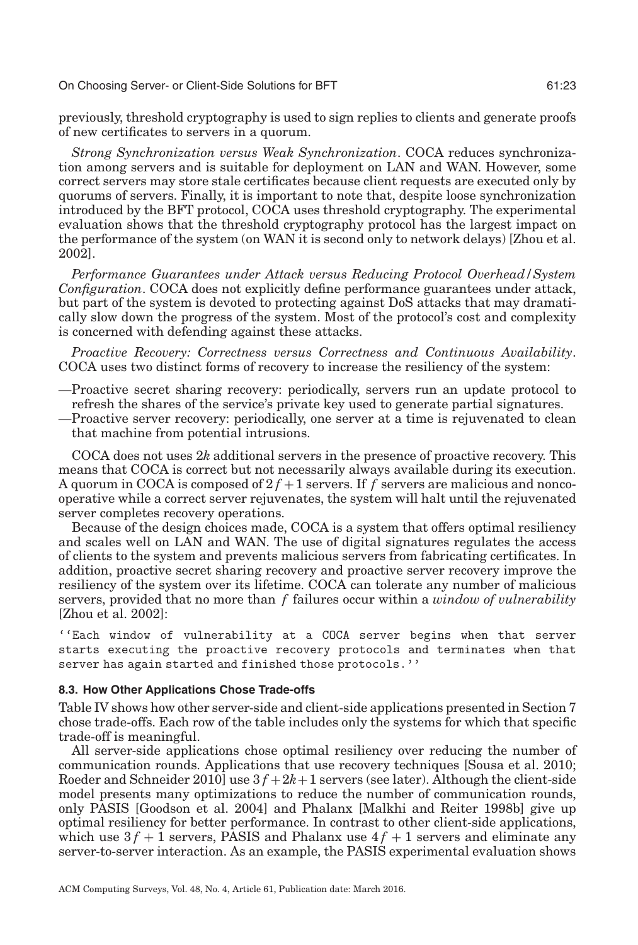On Choosing Server- or Client-Side Solutions for BFT 61:23

previously, threshold cryptography is used to sign replies to clients and generate proofs of new certificates to servers in a quorum.

*Strong Synchronization versus Weak Synchronization*. COCA reduces synchronization among servers and is suitable for deployment on LAN and WAN. However, some correct servers may store stale certificates because client requests are executed only by quorums of servers. Finally, it is important to note that, despite loose synchronization introduced by the BFT protocol, COCA uses threshold cryptography. The experimental evaluation shows that the threshold cryptography protocol has the largest impact on the performance of the system (on WAN it is second only to network delays) [Zhou et al. [2002\]](#page-29-10).

*Performance Guarantees under Attack versus Reducing Protocol Overhead/System Configuration*. COCA does not explicitly define performance guarantees under attack, but part of the system is devoted to protecting against DoS attacks that may dramatically slow down the progress of the system. Most of the protocol's cost and complexity is concerned with defending against these attacks.

*Proactive Recovery: Correctness versus Correctness and Continuous Availability*. COCA uses two distinct forms of recovery to increase the resiliency of the system:

- —Proactive secret sharing recovery: periodically, servers run an update protocol to refresh the shares of the service's private key used to generate partial signatures.
- —Proactive server recovery: periodically, one server at a time is rejuvenated to clean that machine from potential intrusions.

COCA does not uses 2*k* additional servers in the presence of proactive recovery. This means that COCA is correct but not necessarily always available during its execution. A quorum in COCA is composed of  $2f + 1$  servers. If f servers are malicious and noncooperative while a correct server rejuvenates, the system will halt until the rejuvenated server completes recovery operations.

Because of the design choices made, COCA is a system that offers optimal resiliency and scales well on LAN and WAN. The use of digital signatures regulates the access of clients to the system and prevents malicious servers from fabricating certificates. In addition, proactive secret sharing recovery and proactive server recovery improve the resiliency of the system over its lifetime. COCA can tolerate any number of malicious servers, provided that no more than *f* failures occur within a *window of vulnerability* [Zhou et al. [2002\]](#page-29-10):

''Each window of vulnerability at a COCA server begins when that server starts executing the proactive recovery protocols and terminates when that server has again started and finished those protocols.''

#### **8.3. How Other Applications Chose Trade-offs**

<span id="page-22-0"></span>Table [IV](#page-23-0) shows how other server-side and client-side applications presented in Section [7](#page-13-0) chose trade-offs. Each row of the table includes only the systems for which that specific trade-off is meaningful.

All server-side applications chose optimal resiliency over reducing the number of communication rounds. Applications that use recovery techniques [Sousa et al. [2010;](#page-29-4) Roeder and Schneider [2010\]](#page-29-6) use  $3f + 2k + 1$  servers (see later). Although the client-side model presents many optimizations to reduce the number of communication rounds, only PASIS [Goodson et al. [2004\]](#page-28-17) and Phalanx [Malkhi and Reiter [1998b\]](#page-28-12) give up optimal resiliency for better performance. In contrast to other client-side applications, which use  $3f + 1$  servers, PASIS and Phalanx use  $4f + 1$  servers and eliminate any server-to-server interaction. As an example, the PASIS experimental evaluation shows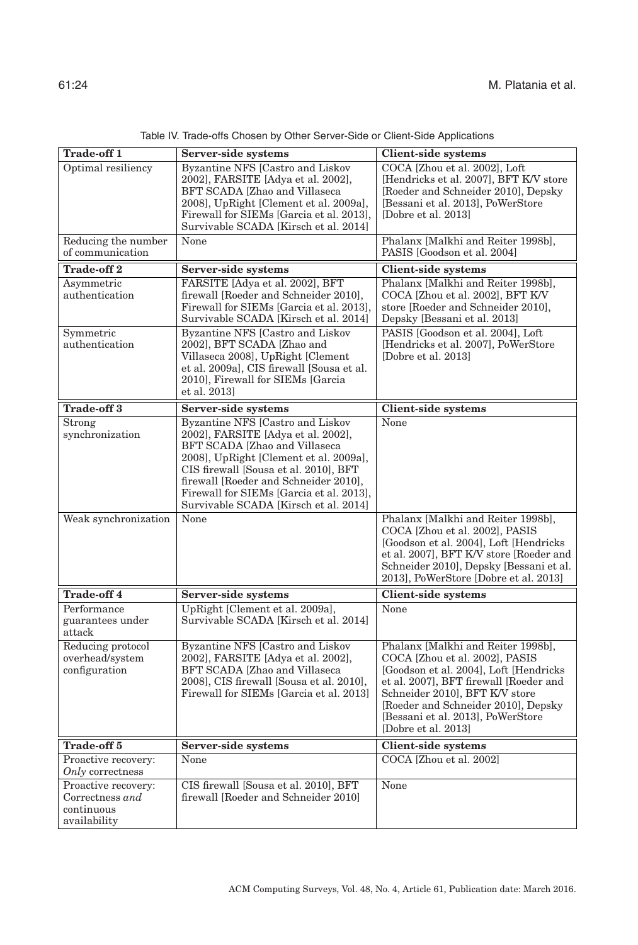<span id="page-23-0"></span>

| <b>Trade-off 1</b>                                                   | Server-side systems                                                                                                                                                                                                                                                                                                      | <b>Client-side systems</b>                                                                                                                                                                                                                                                                     |
|----------------------------------------------------------------------|--------------------------------------------------------------------------------------------------------------------------------------------------------------------------------------------------------------------------------------------------------------------------------------------------------------------------|------------------------------------------------------------------------------------------------------------------------------------------------------------------------------------------------------------------------------------------------------------------------------------------------|
| Optimal resiliency                                                   | Byzantine NFS [Castro and Liskov<br>2002], FARSITE [Adya et al. 2002],<br>BFT SCADA [Zhao and Villaseca<br>2008], UpRight [Clement et al. 2009a],<br>Firewall for SIEMs [Garcia et al. 2013],<br>Survivable SCADA [Kirsch et al. 2014]                                                                                   | COCA [Zhou et al. 2002], Loft<br>[Hendricks et al. 2007], BFT K/V store<br>[Roeder and Schneider 2010], Depsky<br>[Bessani et al. 2013], PoWerStore<br>[Dobre et al. 2013]                                                                                                                     |
| Reducing the number<br>of communication                              | None                                                                                                                                                                                                                                                                                                                     | Phalanx [Malkhi and Reiter 1998b],<br>PASIS [Goodson et al. 2004]                                                                                                                                                                                                                              |
| <b>Trade-off 2</b>                                                   | Server-side systems                                                                                                                                                                                                                                                                                                      | <b>Client-side systems</b>                                                                                                                                                                                                                                                                     |
| Asymmetric<br>authentication                                         | FARSITE [Adya et al. 2002], BFT<br>firewall [Roeder and Schneider 2010],<br>Firewall for SIEMs [Garcia et al. 2013],<br>Survivable SCADA [Kirsch et al. 2014]                                                                                                                                                            | Phalanx [Malkhi and Reiter 1998b],<br>COCA [Zhou et al. 2002], BFT K/V<br>store [Roeder and Schneider 2010],<br>Depsky [Bessani et al. 2013]                                                                                                                                                   |
| Symmetric<br>authentication                                          | Byzantine NFS [Castro and Liskov<br>2002], BFT SCADA [Zhao and<br>Villaseca 2008], UpRight [Clement<br>et al. 2009a], CIS firewall [Sousa et al.<br>2010], Firewall for SIEMs [Garcia<br>et al. 2013]                                                                                                                    | PASIS [Goodson et al. 2004], Loft<br>[Hendricks et al. 2007], PoWerStore<br>[Dobre et al. 2013]                                                                                                                                                                                                |
| <b>Trade-off 3</b>                                                   | Server-side systems                                                                                                                                                                                                                                                                                                      | <b>Client-side systems</b>                                                                                                                                                                                                                                                                     |
| Strong<br>synchronization                                            | Byzantine NFS [Castro and Liskov<br>2002], FARSITE [Adya et al. 2002],<br>BFT SCADA [Zhao and Villaseca<br>2008], UpRight [Clement et al. 2009a],<br>CIS firewall [Sousa et al. 2010], BFT<br>firewall [Roeder and Schneider 2010],<br>Firewall for SIEMs [Garcia et al. 2013],<br>Survivable SCADA [Kirsch et al. 2014] | None                                                                                                                                                                                                                                                                                           |
| Weak synchronization                                                 | None                                                                                                                                                                                                                                                                                                                     | Phalanx [Malkhi and Reiter 1998b],<br>COCA [Zhou et al. 2002], PASIS<br>[Goodson et al. 2004], Loft [Hendricks]<br>et al. 2007], BFT K/V store [Roeder and<br>Schneider 2010], Depsky [Bessani et al.<br>2013], PoWerStore [Dobre et al. 2013]                                                 |
| Trade-off 4                                                          | Server-side systems                                                                                                                                                                                                                                                                                                      | <b>Client-side systems</b>                                                                                                                                                                                                                                                                     |
| Performance<br>guarantees under<br>attack                            | UpRight [Clement et al. 2009a],<br>Survivable SCADA [Kirsch et al. 2014]                                                                                                                                                                                                                                                 | None                                                                                                                                                                                                                                                                                           |
| Reducing protocol<br>overhead/system<br>configuration                | Byzantine NFS [Castro and Liskov]<br>2002], FARSITE [Adya et al. 2002],<br>BFT SCADA [Zhao and Villaseca<br>2008], CIS firewall [Sousa et al. 2010],<br>Firewall for SIEMs [Garcia et al. 2013]                                                                                                                          | Phalanx [Malkhi and Reiter 1998b],<br>COCA [Zhou et al. 2002], PASIS<br>[Goodson et al. 2004], Loft [Hendricks]<br>et al. 2007], BFT firewall [Roeder and<br>Schneider 2010], BFT K/V store<br>[Roeder and Schneider 2010], Depsky<br>[Bessani et al. 2013], PoWerStore<br>[Dobre et al. 2013] |
| <b>Trade-off 5</b>                                                   | Server-side systems                                                                                                                                                                                                                                                                                                      | <b>Client-side systems</b>                                                                                                                                                                                                                                                                     |
| Proactive recovery:<br>Only correctness                              | None                                                                                                                                                                                                                                                                                                                     | COCA [Zhou et al. 2002]                                                                                                                                                                                                                                                                        |
| Proactive recovery:<br>Correctness and<br>continuous<br>availability | CIS firewall [Sousa et al. 2010], BFT<br>firewall [Roeder and Schneider 2010]                                                                                                                                                                                                                                            | None                                                                                                                                                                                                                                                                                           |

Table IV. Trade-offs Chosen by Other Server-Side or Client-Side Applications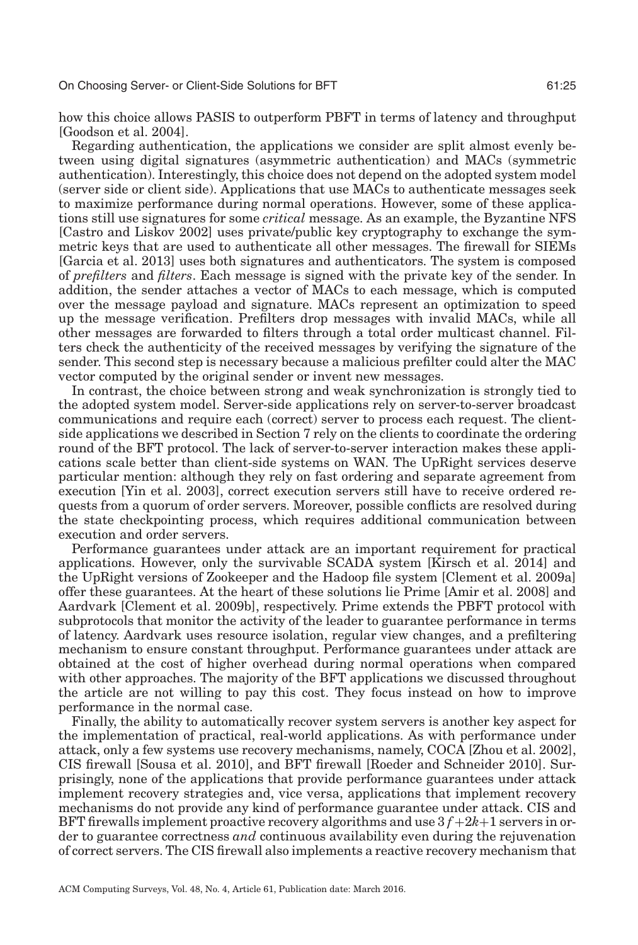how this choice allows PASIS to outperform PBFT in terms of latency and throughput [Goodson et al. [2004\]](#page-28-17).

Regarding authentication, the applications we consider are split almost evenly between using digital signatures (asymmetric authentication) and MACs (symmetric authentication). Interestingly, this choice does not depend on the adopted system model (server side or client side). Applications that use MACs to authenticate messages seek to maximize performance during normal operations. However, some of these applications still use signatures for some *critical* message. As an example, the Byzantine NFS [Castro and Liskov [2002\]](#page-27-8) uses private/public key cryptography to exchange the symmetric keys that are used to authenticate all other messages. The firewall for SIEMs [Garcia et al. [2013\]](#page-28-10) uses both signatures and authenticators. The system is composed of *prefilters* and *filters*. Each message is signed with the private key of the sender. In addition, the sender attaches a vector of MACs to each message, which is computed over the message payload and signature. MACs represent an optimization to speed up the message verification. Prefilters drop messages with invalid MACs, while all other messages are forwarded to filters through a total order multicast channel. Filters check the authenticity of the received messages by verifying the signature of the sender. This second step is necessary because a malicious prefilter could alter the MAC vector computed by the original sender or invent new messages.

In contrast, the choice between strong and weak synchronization is strongly tied to the adopted system model. Server-side applications rely on server-to-server broadcast communications and require each (correct) server to process each request. The clientside applications we described in Section [7](#page-13-0) rely on the clients to coordinate the ordering round of the BFT protocol. The lack of server-to-server interaction makes these applications scale better than client-side systems on WAN. The UpRight services deserve particular mention: although they rely on fast ordering and separate agreement from execution [Yin et al. [2003\]](#page-29-5), correct execution servers still have to receive ordered requests from a quorum of order servers. Moreover, possible conflicts are resolved during the state checkpointing process, which requires additional communication between execution and order servers.

Performance guarantees under attack are an important requirement for practical applications. However, only the survivable SCADA system [Kirsch et al. [2014\]](#page-28-14) and the UpRight versions of Zookeeper and the Hadoop file system [Clement et al. [2009a\]](#page-27-10) offer these guarantees. At the heart of these solutions lie Prime [Amir et al. [2008\]](#page-27-2) and Aardvark [Clement et al. [2009b\]](#page-27-3), respectively. Prime extends the PBFT protocol with subprotocols that monitor the activity of the leader to guarantee performance in terms of latency. Aardvark uses resource isolation, regular view changes, and a prefiltering mechanism to ensure constant throughput. Performance guarantees under attack are obtained at the cost of higher overhead during normal operations when compared with other approaches. The majority of the BFT applications we discussed throughout the article are not willing to pay this cost. They focus instead on how to improve performance in the normal case.

Finally, the ability to automatically recover system servers is another key aspect for the implementation of practical, real-world applications. As with performance under attack, only a few systems use recovery mechanisms, namely, COCA [Zhou et al. [2002\]](#page-29-10), CIS firewall [Sousa et al. [2010\]](#page-29-4), and BFT firewall [Roeder and Schneider [2010\]](#page-29-6). Surprisingly, none of the applications that provide performance guarantees under attack implement recovery strategies and, vice versa, applications that implement recovery mechanisms do not provide any kind of performance guarantee under attack. CIS and BFT firewalls implement proactive recovery algorithms and use  $3f+2k+1$  servers in order to guarantee correctness *and* continuous availability even during the rejuvenation of correct servers. The CIS firewall also implements a reactive recovery mechanism that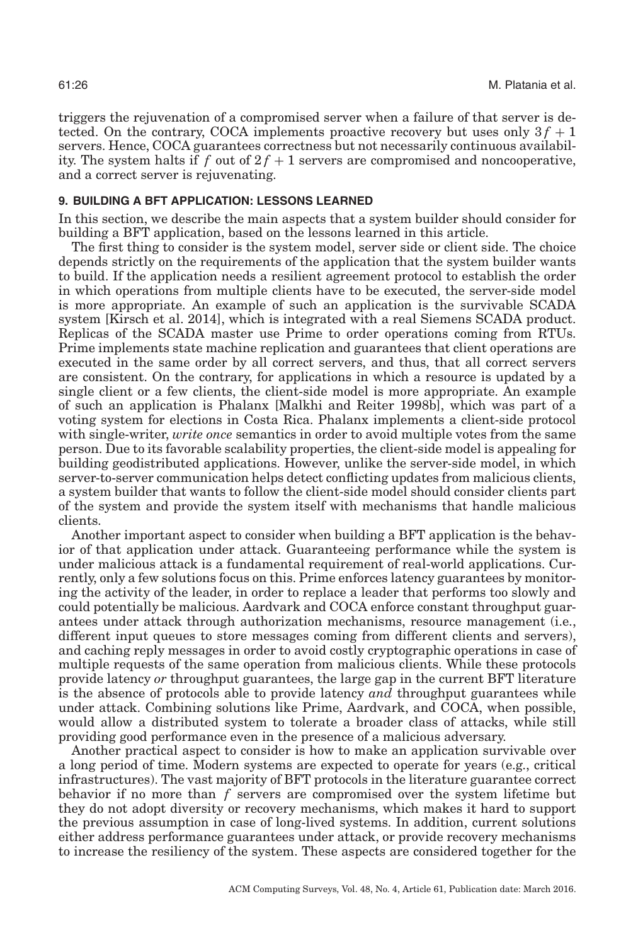triggers the rejuvenation of a compromised server when a failure of that server is detected. On the contrary, COCA implements proactive recovery but uses only  $3f + 1$ servers. Hence, COCA guarantees correctness but not necessarily continuous availability. The system halts if f out of  $2f + 1$  servers are compromised and noncooperative, and a correct server is rejuvenating.

## **9. BUILDING A BFT APPLICATION: LESSONS LEARNED**

<span id="page-25-0"></span>In this section, we describe the main aspects that a system builder should consider for building a BFT application, based on the lessons learned in this article.

The first thing to consider is the system model, server side or client side. The choice depends strictly on the requirements of the application that the system builder wants to build. If the application needs a resilient agreement protocol to establish the order in which operations from multiple clients have to be executed, the server-side model is more appropriate. An example of such an application is the survivable SCADA system [Kirsch et al. [2014\]](#page-28-14), which is integrated with a real Siemens SCADA product. Replicas of the SCADA master use Prime to order operations coming from RTUs. Prime implements state machine replication and guarantees that client operations are executed in the same order by all correct servers, and thus, that all correct servers are consistent. On the contrary, for applications in which a resource is updated by a single client or a few clients, the client-side model is more appropriate. An example of such an application is Phalanx [Malkhi and Reiter [1998b\]](#page-28-12), which was part of a voting system for elections in Costa Rica. Phalanx implements a client-side protocol with single-writer, *write once* semantics in order to avoid multiple votes from the same person. Due to its favorable scalability properties, the client-side model is appealing for building geodistributed applications. However, unlike the server-side model, in which server-to-server communication helps detect conflicting updates from malicious clients, a system builder that wants to follow the client-side model should consider clients part of the system and provide the system itself with mechanisms that handle malicious clients.

Another important aspect to consider when building a BFT application is the behavior of that application under attack. Guaranteeing performance while the system is under malicious attack is a fundamental requirement of real-world applications. Currently, only a few solutions focus on this. Prime enforces latency guarantees by monitoring the activity of the leader, in order to replace a leader that performs too slowly and could potentially be malicious. Aardvark and COCA enforce constant throughput guarantees under attack through authorization mechanisms, resource management (i.e., different input queues to store messages coming from different clients and servers), and caching reply messages in order to avoid costly cryptographic operations in case of multiple requests of the same operation from malicious clients. While these protocols provide latency *or* throughput guarantees, the large gap in the current BFT literature is the absence of protocols able to provide latency *and* throughput guarantees while under attack. Combining solutions like Prime, Aardvark, and COCA, when possible, would allow a distributed system to tolerate a broader class of attacks, while still providing good performance even in the presence of a malicious adversary.

Another practical aspect to consider is how to make an application survivable over a long period of time. Modern systems are expected to operate for years (e.g., critical infrastructures). The vast majority of BFT protocols in the literature guarantee correct behavior if no more than *f* servers are compromised over the system lifetime but they do not adopt diversity or recovery mechanisms, which makes it hard to support the previous assumption in case of long-lived systems. In addition, current solutions either address performance guarantees under attack, or provide recovery mechanisms to increase the resiliency of the system. These aspects are considered together for the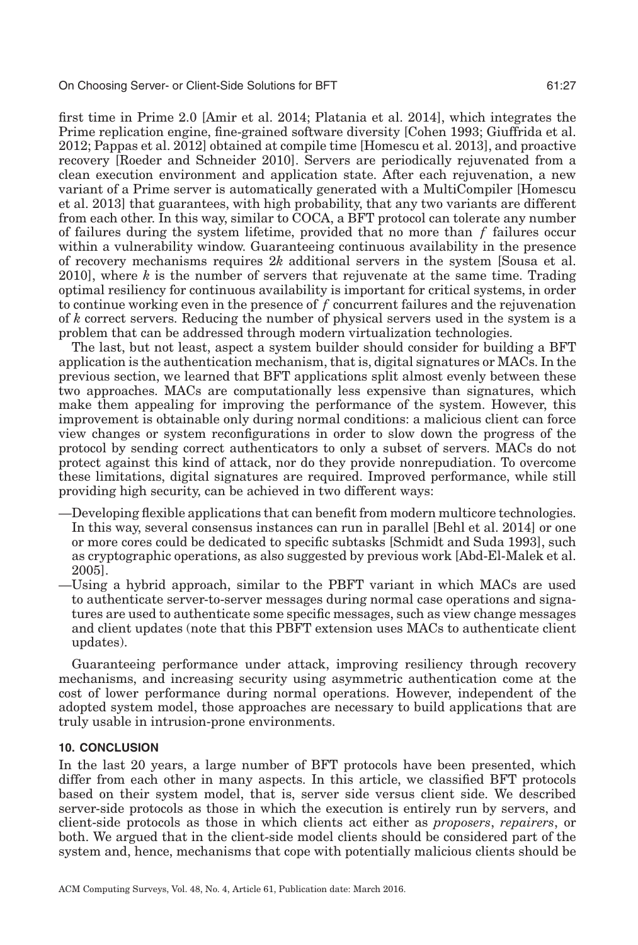On Choosing Server- or Client-Side Solutions for BFT 61:27

first time in Prime 2.0 [Amir et al. [2014;](#page-27-15) Platania et al. [2014\]](#page-28-21), which integrates the Prime replication engine, fine-grained software diversity [Cohen [1993;](#page-27-17) Giuffrida et al. [2012;](#page-28-22) Pappas et al. [2012\]](#page-28-23) obtained at compile time [Homescu et al. [2013\]](#page-28-24), and proactive recovery [Roeder and Schneider [2010\]](#page-29-6). Servers are periodically rejuvenated from a clean execution environment and application state. After each rejuvenation, a new variant of a Prime server is automatically generated with a MultiCompiler [Homescu et al. [2013\]](#page-28-24) that guarantees, with high probability, that any two variants are different from each other. In this way, similar to COCA, a BFT protocol can tolerate any number of failures during the system lifetime, provided that no more than *f* failures occur within a vulnerability window. Guaranteeing continuous availability in the presence of recovery mechanisms requires 2*k* additional servers in the system [Sousa et al. [2010\]](#page-29-4), where *k* is the number of servers that rejuvenate at the same time. Trading optimal resiliency for continuous availability is important for critical systems, in order to continue working even in the presence of *f* concurrent failures and the rejuvenation of *k* correct servers. Reducing the number of physical servers used in the system is a problem that can be addressed through modern virtualization technologies.

The last, but not least, aspect a system builder should consider for building a BFT application is the authentication mechanism, that is, digital signatures or MACs. In the previous section, we learned that BFT applications split almost evenly between these two approaches. MACs are computationally less expensive than signatures, which make them appealing for improving the performance of the system. However, this improvement is obtainable only during normal conditions: a malicious client can force view changes or system reconfigurations in order to slow down the progress of the protocol by sending correct authenticators to only a subset of servers. MACs do not protect against this kind of attack, nor do they provide nonrepudiation. To overcome these limitations, digital signatures are required. Improved performance, while still providing high security, can be achieved in two different ways:

- —Developing flexible applications that can benefit from modern multicore technologies. In this way, several consensus instances can run in parallel [Behl et al. [2014\]](#page-27-18) or one or more cores could be dedicated to specific subtasks [Schmidt and Suda [1993\]](#page-29-12), such as cryptographic operations, as also suggested by previous work [Abd-El-Malek et al. [2005\]](#page-27-1).
- —Using a hybrid approach, similar to the PBFT variant in which MACs are used to authenticate server-to-server messages during normal case operations and signatures are used to authenticate some specific messages, such as view change messages and client updates (note that this PBFT extension uses MACs to authenticate client updates).

Guaranteeing performance under attack, improving resiliency through recovery mechanisms, and increasing security using asymmetric authentication come at the cost of lower performance during normal operations. However, independent of the adopted system model, those approaches are necessary to build applications that are truly usable in intrusion-prone environments.

## **10. CONCLUSION**

<span id="page-26-0"></span>In the last 20 years, a large number of BFT protocols have been presented, which differ from each other in many aspects. In this article, we classified BFT protocols based on their system model, that is, server side versus client side. We described server-side protocols as those in which the execution is entirely run by servers, and client-side protocols as those in which clients act either as *proposers*, *repairers*, or both. We argued that in the client-side model clients should be considered part of the system and, hence, mechanisms that cope with potentially malicious clients should be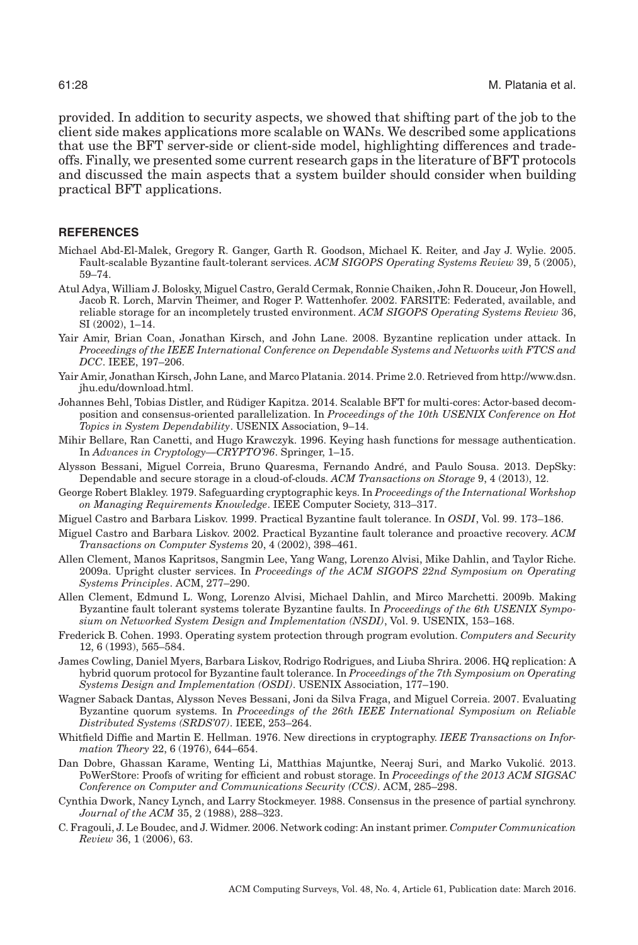provided. In addition to security aspects, we showed that shifting part of the job to the client side makes applications more scalable on WANs. We described some applications that use the BFT server-side or client-side model, highlighting differences and tradeoffs. Finally, we presented some current research gaps in the literature of BFT protocols and discussed the main aspects that a system builder should consider when building practical BFT applications.

#### **REFERENCES**

- <span id="page-27-1"></span>Michael Abd-El-Malek, Gregory R. Ganger, Garth R. Goodson, Michael K. Reiter, and Jay J. Wylie. 2005. Fault-scalable Byzantine fault-tolerant services. *ACM SIGOPS Operating Systems Review* 39, 5 (2005), 59–74.
- <span id="page-27-9"></span>Atul Adya, William J. Bolosky, Miguel Castro, Gerald Cermak, Ronnie Chaiken, John R. Douceur, Jon Howell, Jacob R. Lorch, Marvin Theimer, and Roger P. Wattenhofer. 2002. FARSITE: Federated, available, and reliable storage for an incompletely trusted environment. *ACM SIGOPS Operating Systems Review* 36, SI (2002), 1–14.
- <span id="page-27-2"></span>Yair Amir, Brian Coan, Jonathan Kirsch, and John Lane. 2008. Byzantine replication under attack. In *Proceedings of the IEEE International Conference on Dependable Systems and Networks with FTCS and DCC*. IEEE, 197–206.
- <span id="page-27-15"></span>Yair Amir, Jonathan Kirsch, John Lane, and Marco Platania. 2014. Prime 2.0. Retrieved from [http://www.dsn.](http://www.dsn. ignorespaces jhu.edu/download.html) [jhu.edu/download.html.](http://www.dsn. ignorespaces jhu.edu/download.html)
- <span id="page-27-18"></span>Johannes Behl, Tobias Distler, and Rudiger Kapitza. 2014. Scalable BFT for multi-cores: Actor-based decom- ¨ position and consensus-oriented parallelization. In *Proceedings of the 10th USENIX Conference on Hot Topics in System Dependability*. USENIX Association, 9–14.
- <span id="page-27-7"></span>Mihir Bellare, Ran Canetti, and Hugo Krawczyk. 1996. Keying hash functions for message authentication. In *Advances in Cryptology—CRYPTO'96*. Springer, 1–15.
- <span id="page-27-12"></span>Alysson Bessani, Miguel Correia, Bruno Quaresma, Fernando Andre, and Paulo Sousa. 2013. DepSky: ´ Dependable and secure storage in a cloud-of-clouds. *ACM Transactions on Storage* 9, 4 (2013), 12.
- <span id="page-27-16"></span>George Robert Blakley. 1979. Safeguarding cryptographic keys. In *Proceedings of the International Workshop on Managing Requirements Knowledge*. IEEE Computer Society, 313–317.
- <span id="page-27-0"></span>Miguel Castro and Barbara Liskov. 1999. Practical Byzantine fault tolerance. In *OSDI*, Vol. 99. 173–186.
- <span id="page-27-8"></span>Miguel Castro and Barbara Liskov. 2002. Practical Byzantine fault tolerance and proactive recovery. *ACM Transactions on Computer Systems* 20, 4 (2002), 398–461.
- <span id="page-27-10"></span>Allen Clement, Manos Kapritsos, Sangmin Lee, Yang Wang, Lorenzo Alvisi, Mike Dahlin, and Taylor Riche. 2009a. Upright cluster services. In *Proceedings of the ACM SIGOPS 22nd Symposium on Operating Systems Principles*. ACM, 277–290.
- <span id="page-27-3"></span>Allen Clement, Edmund L. Wong, Lorenzo Alvisi, Michael Dahlin, and Mirco Marchetti. 2009b. Making Byzantine fault tolerant systems tolerate Byzantine faults. In *Proceedings of the 6th USENIX Symposium on Networked System Design and Implementation (NSDI)*, Vol. 9. USENIX, 153–168.
- <span id="page-27-17"></span>Frederick B. Cohen. 1993. Operating system protection through program evolution. *Computers and Security* 12, 6 (1993), 565–584.
- <span id="page-27-5"></span>James Cowling, Daniel Myers, Barbara Liskov, Rodrigo Rodrigues, and Liuba Shrira. 2006. HQ replication: A hybrid quorum protocol for Byzantine fault tolerance. In *Proceedings of the 7th Symposium on Operating Systems Design and Implementation (OSDI)*. USENIX Association, 177–190.
- <span id="page-27-4"></span>Wagner Saback Dantas, Alysson Neves Bessani, Joni da Silva Fraga, and Miguel Correia. 2007. Evaluating Byzantine quorum systems. In *Proceedings of the 26th IEEE International Symposium on Reliable Distributed Systems (SRDS'07)*. IEEE, 253–264.
- <span id="page-27-6"></span>Whitfield Diffie and Martin E. Hellman. 1976. New directions in cryptography. *IEEE Transactions on Information Theory* 22, 6 (1976), 644–654.
- <span id="page-27-13"></span>Dan Dobre, Ghassan Karame, Wenting Li, Matthias Majuntke, Neeraj Suri, and Marko Vukolic. 2013. ´ PoWerStore: Proofs of writing for efficient and robust storage. In *Proceedings of the 2013 ACM SIGSAC Conference on Computer and Communications Security (CCS)*. ACM, 285–298.
- <span id="page-27-11"></span>Cynthia Dwork, Nancy Lynch, and Larry Stockmeyer. 1988. Consensus in the presence of partial synchrony. *Journal of the ACM* 35, 2 (1988), 288–323.
- <span id="page-27-14"></span>C. Fragouli, J. Le Boudec, and J. Widmer. 2006. Network coding: An instant primer. *Computer Communication Review* 36, 1 (2006), 63.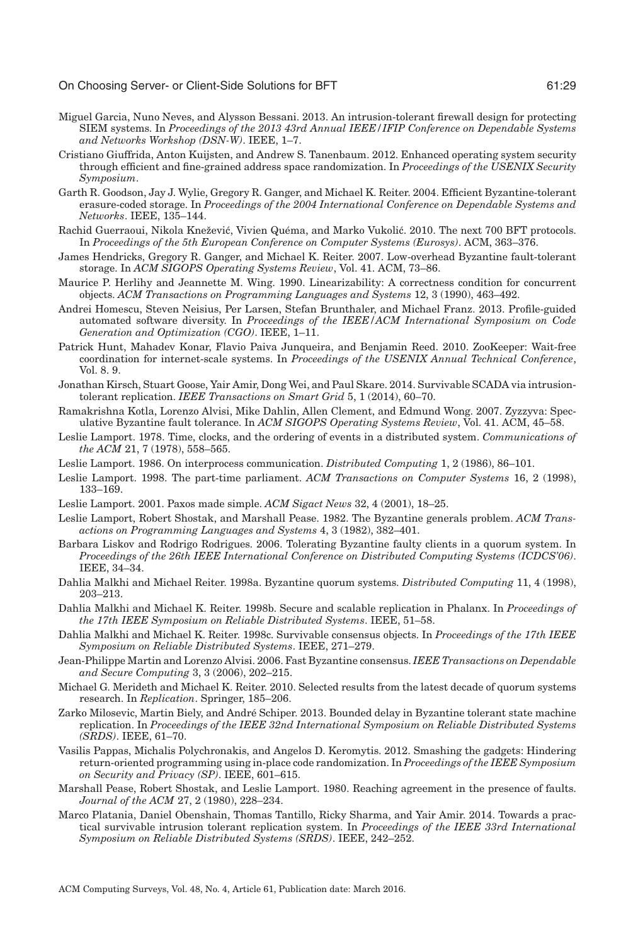- <span id="page-28-10"></span>Miguel Garcia, Nuno Neves, and Alysson Bessani. 2013. An intrusion-tolerant firewall design for protecting SIEM systems. In *Proceedings of the 2013 43rd Annual IEEE/IFIP Conference on Dependable Systems and Networks Workshop (DSN-W)*. IEEE, 1–7.
- <span id="page-28-22"></span>Cristiano Giuffrida, Anton Kuijsten, and Andrew S. Tanenbaum. 2012. Enhanced operating system security through efficient and fine-grained address space randomization. In *Proceedings of the USENIX Security Symposium*.
- <span id="page-28-17"></span>Garth R. Goodson, Jay J. Wylie, Gregory R. Ganger, and Michael K. Reiter. 2004. Efficient Byzantine-tolerant erasure-coded storage. In *Proceedings of the 2004 International Conference on Dependable Systems and Networks*. IEEE, 135–144.
- <span id="page-28-6"></span>Rachid Guerraoui, Nikola Knežević, Vivien Quéma, and Marko Vukolić. 2010. The next 700 BFT protocols. In *Proceedings of the 5th European Conference on Computer Systems (Eurosys)*. ACM, 363–376.
- <span id="page-28-18"></span>James Hendricks, Gregory R. Ganger, and Michael K. Reiter. 2007. Low-overhead Byzantine fault-tolerant storage. In *ACM SIGOPS Operating Systems Review*, Vol. 41. ACM, 73–86.
- <span id="page-28-20"></span>Maurice P. Herlihy and Jeannette M. Wing. 1990. Linearizability: A correctness condition for concurrent objects. *ACM Transactions on Programming Languages and Systems* 12, 3 (1990), 463–492.
- <span id="page-28-24"></span>Andrei Homescu, Steven Neisius, Per Larsen, Stefan Brunthaler, and Michael Franz. 2013. Profile-guided automated software diversity. In *Proceedings of the IEEE/ACM International Symposium on Code Generation and Optimization (CGO)*. IEEE, 1–11.
- <span id="page-28-15"></span>Patrick Hunt, Mahadev Konar, Flavio Paiva Junqueira, and Benjamin Reed. 2010. ZooKeeper: Wait-free coordination for internet-scale systems. In *Proceedings of the USENIX Annual Technical Conference*, Vol. 8. 9.
- <span id="page-28-14"></span>Jonathan Kirsch, Stuart Goose, Yair Amir, Dong Wei, and Paul Skare. 2014. Survivable SCADA via intrusiontolerant replication. *IEEE Transactions on Smart Grid* 5, 1 (2014), 60–70.
- <span id="page-28-2"></span>Ramakrishna Kotla, Lorenzo Alvisi, Mike Dahlin, Allen Clement, and Edmund Wong. 2007. Zyzzyva: Speculative Byzantine fault tolerance. In *ACM SIGOPS Operating Systems Review*, Vol. 41. ACM, 45–58.
- <span id="page-28-7"></span>Leslie Lamport. 1978. Time, clocks, and the ordering of events in a distributed system. *Communications of the ACM* 21, 7 (1978), 558–565.
- <span id="page-28-19"></span>Leslie Lamport. 1986. On interprocess communication. *Distributed Computing* 1, 2 (1986), 86–101.
- <span id="page-28-9"></span>Leslie Lamport. 1998. The part-time parliament. *ACM Transactions on Computer Systems* 16, 2 (1998), 133–169.
- <span id="page-28-16"></span>Leslie Lamport. 2001. Paxos made simple. *ACM Sigact News* 32, 4 (2001), 18–25.
- <span id="page-28-1"></span>Leslie Lamport, Robert Shostak, and Marshall Pease. 1982. The Byzantine generals problem. *ACM Transactions on Programming Languages and Systems* 4, 3 (1982), 382–401.
- <span id="page-28-13"></span>Barbara Liskov and Rodrigo Rodrigues. 2006. Tolerating Byzantine faulty clients in a quorum system. In *Proceedings of the 26th IEEE International Conference on Distributed Computing Systems (ICDCS'06)*. IEEE, 34–34.
- <span id="page-28-11"></span>Dahlia Malkhi and Michael Reiter. 1998a. Byzantine quorum systems. *Distributed Computing* 11, 4 (1998), 203–213.
- <span id="page-28-12"></span>Dahlia Malkhi and Michael K. Reiter. 1998b. Secure and scalable replication in Phalanx. In *Proceedings of the 17th IEEE Symposium on Reliable Distributed Systems*. IEEE, 51–58.
- <span id="page-28-4"></span>Dahlia Malkhi and Michael K. Reiter. 1998c. Survivable consensus objects. In *Proceedings of the 17th IEEE Symposium on Reliable Distributed Systems*. IEEE, 271–279.
- <span id="page-28-8"></span>Jean-Philippe Martin and Lorenzo Alvisi. 2006. Fast Byzantine consensus. *IEEE Transactions on Dependable and Secure Computing* 3, 3 (2006), 202–215.
- <span id="page-28-5"></span>Michael G. Merideth and Michael K. Reiter. 2010. Selected results from the latest decade of quorum systems research. In *Replication*. Springer, 185–206.
- <span id="page-28-3"></span>Zarko Milosevic, Martin Biely, and Andre Schiper. 2013. Bounded delay in Byzantine tolerant state machine ´ replication. In *Proceedings of the IEEE 32nd International Symposium on Reliable Distributed Systems (SRDS)*. IEEE, 61–70.
- <span id="page-28-23"></span>Vasilis Pappas, Michalis Polychronakis, and Angelos D. Keromytis. 2012. Smashing the gadgets: Hindering return-oriented programming using in-place code randomization. In *Proceedings of the IEEE Symposium on Security and Privacy (SP)*. IEEE, 601–615.
- <span id="page-28-0"></span>Marshall Pease, Robert Shostak, and Leslie Lamport. 1980. Reaching agreement in the presence of faults. *Journal of the ACM* 27, 2 (1980), 228–234.
- <span id="page-28-21"></span>Marco Platania, Daniel Obenshain, Thomas Tantillo, Ricky Sharma, and Yair Amir. 2014. Towards a practical survivable intrusion tolerant replication system. In *Proceedings of the IEEE 33rd International Symposium on Reliable Distributed Systems (SRDS)*. IEEE, 242–252.